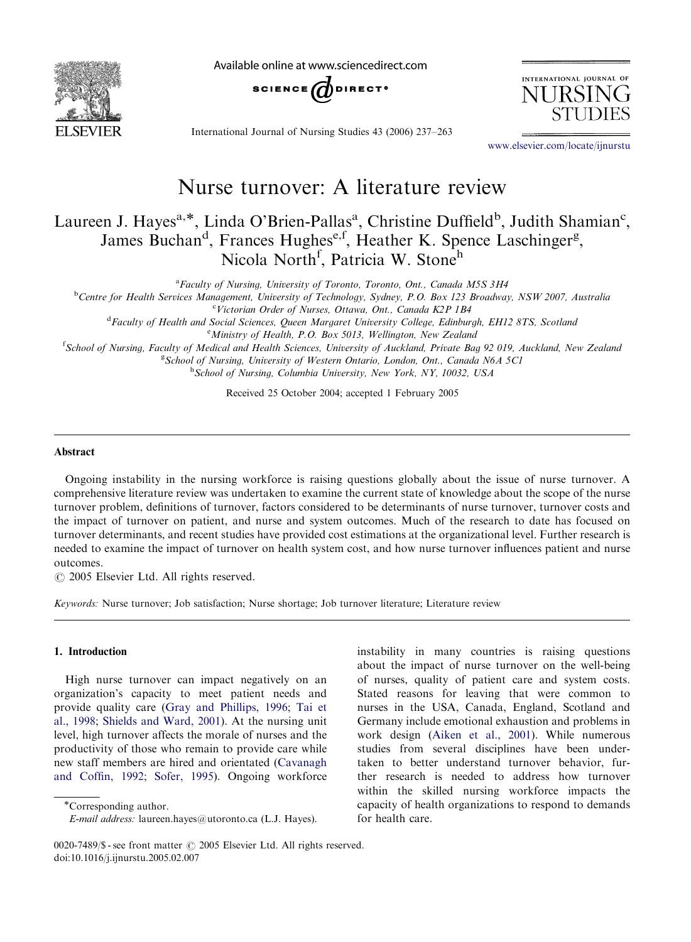

Available online at www.sciencedirect.com



International Journal of Nursing Studies 43 (2006) 237–263

<www.elsevier.com/locate/ijnurstu>

INTERNATIONAL JOURNAL OF

TIRSI

# Nurse turnover: A literature review

Laureen J. Hayes<sup>a,\*</sup>, Linda O'Brien-Pallas<sup>a</sup>, Christine Duffield<sup>b</sup>, Judith Shamian<sup>c</sup>, James Buchan<sup>d</sup>, Frances Hughes<sup>e,f</sup>, Heather K. Spence Laschinger<sup>g</sup>, Nicola North<sup>f</sup>, Patricia W. Stoneh

<sup>a</sup> Faculty of Nursing, University of Toronto, Toronto, Ont., Canada M5S 3H4

**b** Centre for Health Services Management, University of Technology, Sydney, P.O. Box 123 Broadway, NSW 2007, Australia

<sup>c</sup>Victorian Order of Nurses, Ottawa, Ont., Canada K2P 1B4

<sup>d</sup> Faculty of Health and Social Sciences, Queen Margaret University College, Edinburgh, EH12 8TS, Scotlana <sup>e</sup> Ministry of Health, P.O. Box 5013, Wellington, New Zealand

<sup>f</sup>School of Nursing, Faculty of Medical and Health Sciences, University of Auckland, Private Bag 92 019, Auckland, New Zealana <sup>g</sup> School of Nursing, University of Western Ontario, London, Ont., Canada N6A 5C1

h School of Nursing, Columbia University, New York, NY, 10032, USA

Received 25 October 2004; accepted 1 February 2005

#### Abstract

Ongoing instability in the nursing workforce is raising questions globally about the issue of nurse turnover. A comprehensive literature review was undertaken to examine the current state of knowledge about the scope of the nurse turnover problem, definitions of turnover, factors considered to be determinants of nurse turnover, turnover costs and the impact of turnover on patient, and nurse and system outcomes. Much of the research to date has focused on turnover determinants, and recent studies have provided cost estimations at the organizational level. Further research is needed to examine the impact of turnover on health system cost, and how nurse turnover influences patient and nurse outcomes.

 $\odot$  2005 Elsevier Ltd. All rights reserved.

Keywords: Nurse turnover; Job satisfaction; Nurse shortage; Job turnover literature; Literature review

#### 1. Introduction

High nurse turnover can impact negatively on an organization's capacity to meet patient needs and provide quality care [\(Gray and Phillips, 1996;](#page-23-0) [Tai et](#page-25-0) [al., 1998](#page-25-0); [Shields and Ward, 2001\)](#page-25-0). At the nursing unit level, high turnover affects the morale of nurses and the productivity of those who remain to provide care while new staff members are hired and orientated ([Cavanagh](#page-23-0) [and Coffin, 1992](#page-23-0); [Sofer, 1995](#page-25-0)). Ongoing workforce

instability in many countries is raising questions about the impact of nurse turnover on the well-being of nurses, quality of patient care and system costs. Stated reasons for leaving that were common to nurses in the USA, Canada, England, Scotland and Germany include emotional exhaustion and problems in work design ([Aiken et al., 2001\)](#page-22-0). While numerous studies from several disciplines have been undertaken to better understand turnover behavior, further research is needed to address how turnover within the skilled nursing workforce impacts the capacity of health organizations to respond to demands for health care.

Corresponding author.

E-mail address: laureen.hayes@utoronto.ca (L.J. Hayes).

<sup>0020-7489/\$ -</sup> see front matter  $\circ$  2005 Elsevier Ltd. All rights reserved. doi:10.1016/j.ijnurstu.2005.02.007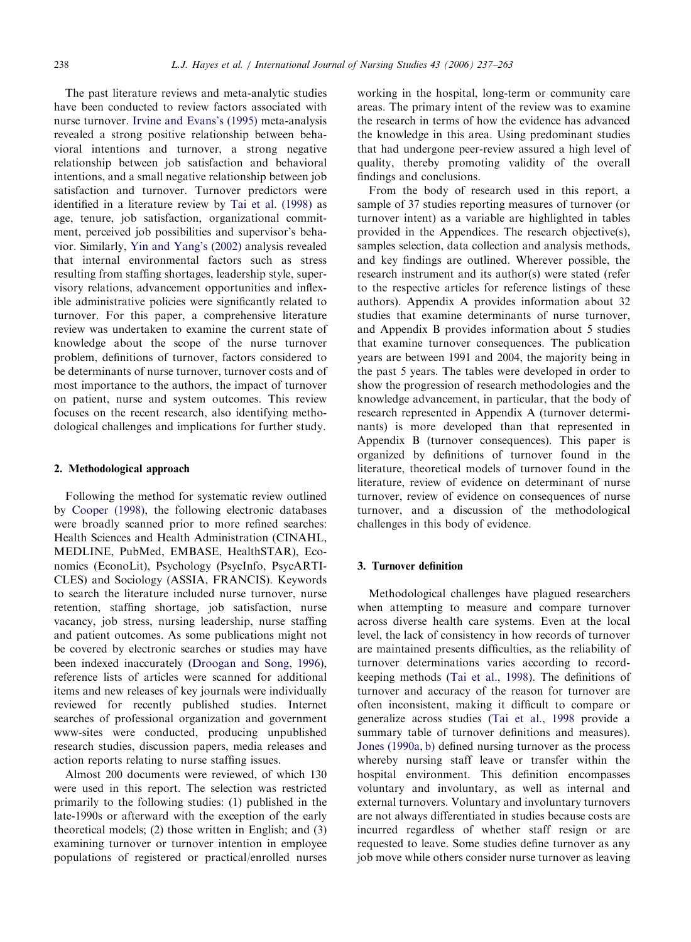The past literature reviews and meta-analytic studies have been conducted to review factors associated with nurse turnover. [Irvine and Evans's \(1995\)](#page-24-0) meta-analysis revealed a strong positive relationship between behavioral intentions and turnover, a strong negative relationship between job satisfaction and behavioral intentions, and a small negative relationship between job satisfaction and turnover. Turnover predictors were identified in a literature review by [Tai et al. \(1998\)](#page-25-0) as age, tenure, job satisfaction, organizational commitment, perceived job possibilities and supervisor's behavior. Similarly, [Yin and Yang's \(2002\)](#page-26-0) analysis revealed that internal environmental factors such as stress resulting from staffing shortages, leadership style, supervisory relations, advancement opportunities and inflexible administrative policies were significantly related to turnover. For this paper, a comprehensive literature review was undertaken to examine the current state of knowledge about the scope of the nurse turnover problem, definitions of turnover, factors considered to be determinants of nurse turnover, turnover costs and of most importance to the authors, the impact of turnover on patient, nurse and system outcomes. This review focuses on the recent research, also identifying methodological challenges and implications for further study.

#### 2. Methodological approach

Following the method for systematic review outlined by [Cooper \(1998\)](#page-23-0), the following electronic databases were broadly scanned prior to more refined searches: Health Sciences and Health Administration (CINAHL, MEDLINE, PubMed, EMBASE, HealthSTAR), Economics (EconoLit), Psychology (PsycInfo, PsycARTI-CLES) and Sociology (ASSIA, FRANCIS). Keywords to search the literature included nurse turnover, nurse retention, staffing shortage, job satisfaction, nurse vacancy, job stress, nursing leadership, nurse staffing and patient outcomes. As some publications might not be covered by electronic searches or studies may have been indexed inaccurately [\(Droogan and Song, 1996](#page-23-0)), reference lists of articles were scanned for additional items and new releases of key journals were individually reviewed for recently published studies. Internet searches of professional organization and government www-sites were conducted, producing unpublished research studies, discussion papers, media releases and action reports relating to nurse staffing issues.

Almost 200 documents were reviewed, of which 130 were used in this report. The selection was restricted primarily to the following studies: (1) published in the late-1990s or afterward with the exception of the early theoretical models; (2) those written in English; and (3) examining turnover or turnover intention in employee populations of registered or practical/enrolled nurses working in the hospital, long-term or community care areas. The primary intent of the review was to examine the research in terms of how the evidence has advanced the knowledge in this area. Using predominant studies that had undergone peer-review assured a high level of quality, thereby promoting validity of the overall findings and conclusions.

From the body of research used in this report, a sample of 37 studies reporting measures of turnover (or turnover intent) as a variable are highlighted in tables provided in the Appendices. The research objective(s), samples selection, data collection and analysis methods, and key findings are outlined. Wherever possible, the research instrument and its author(s) were stated (refer to the respective articles for reference listings of these authors). Appendix A provides information about 32 studies that examine determinants of nurse turnover, and Appendix B provides information about 5 studies that examine turnover consequences. The publication years are between 1991 and 2004, the majority being in the past 5 years. The tables were developed in order to show the progression of research methodologies and the knowledge advancement, in particular, that the body of research represented in Appendix A (turnover determinants) is more developed than that represented in Appendix B (turnover consequences). This paper is organized by definitions of turnover found in the literature, theoretical models of turnover found in the literature, review of evidence on determinant of nurse turnover, review of evidence on consequences of nurse turnover, and a discussion of the methodological challenges in this body of evidence.

# 3. Turnover definition

Methodological challenges have plagued researchers when attempting to measure and compare turnover across diverse health care systems. Even at the local level, the lack of consistency in how records of turnover are maintained presents difficulties, as the reliability of turnover determinations varies according to recordkeeping methods ([Tai et al., 1998\)](#page-25-0). The definitions of turnover and accuracy of the reason for turnover are often inconsistent, making it difficult to compare or generalize across studies ([Tai et al., 1998](#page-25-0) provide a summary table of turnover definitions and measures). [Jones \(1990a, b\)](#page-24-0) defined nursing turnover as the process whereby nursing staff leave or transfer within the hospital environment. This definition encompasses voluntary and involuntary, as well as internal and external turnovers. Voluntary and involuntary turnovers are not always differentiated in studies because costs are incurred regardless of whether staff resign or are requested to leave. Some studies define turnover as any job move while others consider nurse turnover as leaving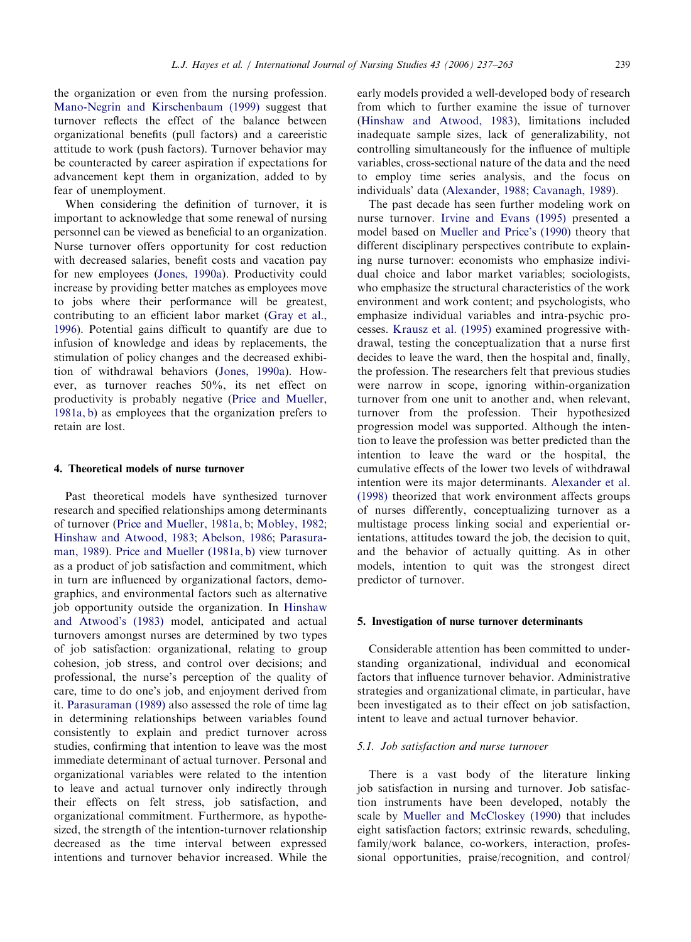the organization or even from the nursing profession. [Mano-Negrin and Kirschenbaum \(1999\)](#page-24-0) suggest that turnover reflects the effect of the balance between organizational benefits (pull factors) and a careeristic attitude to work (push factors). Turnover behavior may be counteracted by career aspiration if expectations for advancement kept them in organization, added to by fear of unemployment.

When considering the definition of turnover, it is important to acknowledge that some renewal of nursing personnel can be viewed as beneficial to an organization. Nurse turnover offers opportunity for cost reduction with decreased salaries, benefit costs and vacation pay for new employees ([Jones, 1990a](#page-24-0)). Productivity could increase by providing better matches as employees move to jobs where their performance will be greatest, contributing to an efficient labor market [\(Gray et al.,](#page-23-0) [1996](#page-23-0)). Potential gains difficult to quantify are due to infusion of knowledge and ideas by replacements, the stimulation of policy changes and the decreased exhibition of withdrawal behaviors ([Jones, 1990a\)](#page-24-0). However, as turnover reaches 50%, its net effect on productivity is probably negative ([Price and Mueller,](#page-25-0) [1981a, b\)](#page-25-0) as employees that the organization prefers to retain are lost.

#### 4. Theoretical models of nurse turnover

Past theoretical models have synthesized turnover research and specified relationships among determinants of turnover [\(Price and Mueller, 1981a, b](#page-25-0); [Mobley, 1982](#page-24-0); [Hinshaw and Atwood, 1983](#page-24-0); [Abelson, 1986;](#page-22-0) [Parasura](#page-25-0)[man, 1989\)](#page-25-0). [Price and Mueller \(1981a, b\)](#page-25-0) view turnover as a product of job satisfaction and commitment, which in turn are influenced by organizational factors, demographics, and environmental factors such as alternative job opportunity outside the organization. In [Hinshaw](#page-24-0) [and Atwood's \(1983\)](#page-24-0) model, anticipated and actual turnovers amongst nurses are determined by two types of job satisfaction: organizational, relating to group cohesion, job stress, and control over decisions; and professional, the nurse's perception of the quality of care, time to do one's job, and enjoyment derived from it. [Parasuraman \(1989\)](#page-25-0) also assessed the role of time lag in determining relationships between variables found consistently to explain and predict turnover across studies, confirming that intention to leave was the most immediate determinant of actual turnover. Personal and organizational variables were related to the intention to leave and actual turnover only indirectly through their effects on felt stress, job satisfaction, and organizational commitment. Furthermore, as hypothesized, the strength of the intention-turnover relationship decreased as the time interval between expressed intentions and turnover behavior increased. While the

early models provided a well-developed body of research from which to further examine the issue of turnover ([Hinshaw and Atwood, 1983\)](#page-24-0), limitations included inadequate sample sizes, lack of generalizability, not controlling simultaneously for the influence of multiple variables, cross-sectional nature of the data and the need to employ time series analysis, and the focus on individuals' data ([Alexander, 1988;](#page-22-0) [Cavanagh, 1989](#page-23-0)).

The past decade has seen further modeling work on nurse turnover. [Irvine and Evans \(1995\)](#page-24-0) presented a model based on [Mueller and Price's \(1990\)](#page-25-0) theory that different disciplinary perspectives contribute to explaining nurse turnover: economists who emphasize individual choice and labor market variables; sociologists, who emphasize the structural characteristics of the work environment and work content; and psychologists, who emphasize individual variables and intra-psychic processes. [Krausz et al. \(1995\)](#page-24-0) examined progressive withdrawal, testing the conceptualization that a nurse first decides to leave the ward, then the hospital and, finally, the profession. The researchers felt that previous studies were narrow in scope, ignoring within-organization turnover from one unit to another and, when relevant, turnover from the profession. Their hypothesized progression model was supported. Although the intention to leave the profession was better predicted than the intention to leave the ward or the hospital, the cumulative effects of the lower two levels of withdrawal intention were its major determinants. [Alexander et al.](#page-22-0) [\(1998\)](#page-22-0) theorized that work environment affects groups of nurses differently, conceptualizing turnover as a multistage process linking social and experiential orientations, attitudes toward the job, the decision to quit, and the behavior of actually quitting. As in other models, intention to quit was the strongest direct predictor of turnover.

#### 5. Investigation of nurse turnover determinants

Considerable attention has been committed to understanding organizational, individual and economical factors that influence turnover behavior. Administrative strategies and organizational climate, in particular, have been investigated as to their effect on job satisfaction, intent to leave and actual turnover behavior.

#### 5.1. Job satisfaction and nurse turnover

There is a vast body of the literature linking job satisfaction in nursing and turnover. Job satisfaction instruments have been developed, notably the scale by [Mueller and McCloskey \(1990\)](#page-25-0) that includes eight satisfaction factors; extrinsic rewards, scheduling, family/work balance, co-workers, interaction, professional opportunities, praise/recognition, and control/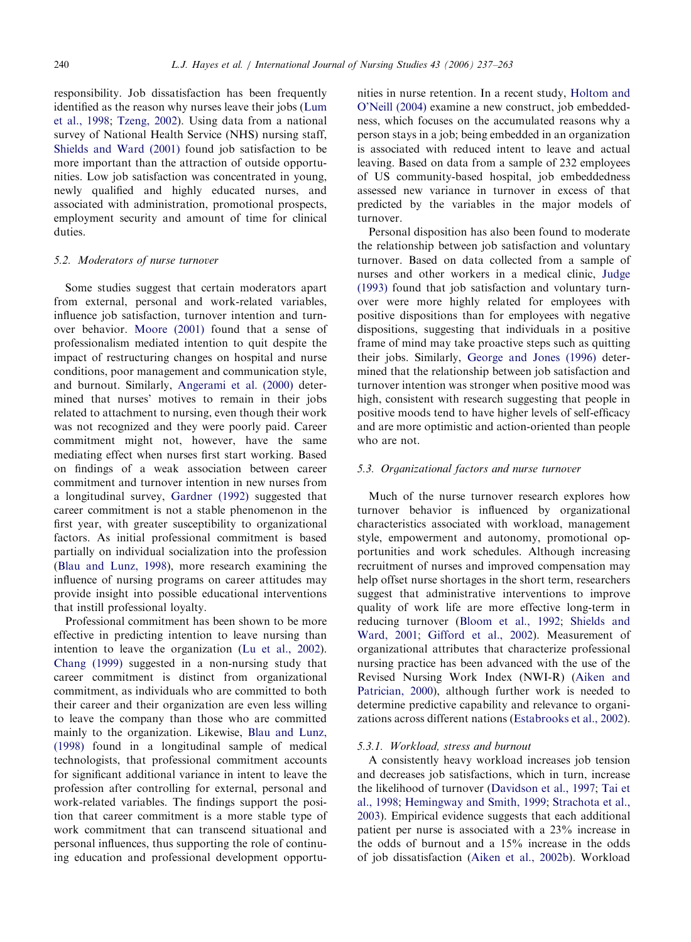responsibility. Job dissatisfaction has been frequently identified as the reason why nurses leave their jobs [\(Lum](#page-24-0) [et al., 1998](#page-24-0); [Tzeng, 2002\)](#page-25-0). Using data from a national survey of National Health Service (NHS) nursing staff, [Shields and Ward \(2001\)](#page-25-0) found job satisfaction to be more important than the attraction of outside opportunities. Low job satisfaction was concentrated in young, newly qualified and highly educated nurses, and associated with administration, promotional prospects, employment security and amount of time for clinical duties.

#### 5.2. Moderators of nurse turnover

Some studies suggest that certain moderators apart from external, personal and work-related variables, influence job satisfaction, turnover intention and turnover behavior. [Moore \(2001\)](#page-25-0) found that a sense of professionalism mediated intention to quit despite the impact of restructuring changes on hospital and nurse conditions, poor management and communication style, and burnout. Similarly, [Angerami et al. \(2000\)](#page-22-0) determined that nurses' motives to remain in their jobs related to attachment to nursing, even though their work was not recognized and they were poorly paid. Career commitment might not, however, have the same mediating effect when nurses first start working. Based on findings of a weak association between career commitment and turnover intention in new nurses from a longitudinal survey, [Gardner \(1992\)](#page-23-0) suggested that career commitment is not a stable phenomenon in the first year, with greater susceptibility to organizational factors. As initial professional commitment is based partially on individual socialization into the profession ([Blau and Lunz, 1998\)](#page-22-0), more research examining the influence of nursing programs on career attitudes may provide insight into possible educational interventions that instill professional loyalty.

Professional commitment has been shown to be more effective in predicting intention to leave nursing than intention to leave the organization ([Lu et al., 2002](#page-24-0)). [Chang \(1999\)](#page-23-0) suggested in a non-nursing study that career commitment is distinct from organizational commitment, as individuals who are committed to both their career and their organization are even less willing to leave the company than those who are committed mainly to the organization. Likewise, [Blau and Lunz,](#page-22-0) [\(1998\)](#page-22-0) found in a longitudinal sample of medical technologists, that professional commitment accounts for significant additional variance in intent to leave the profession after controlling for external, personal and work-related variables. The findings support the position that career commitment is a more stable type of work commitment that can transcend situational and personal influences, thus supporting the role of continuing education and professional development opportunities in nurse retention. In a recent study, [Holtom and](#page-24-0) [O'Neill \(2004\)](#page-24-0) examine a new construct, job embeddedness, which focuses on the accumulated reasons why a person stays in a job; being embedded in an organization is associated with reduced intent to leave and actual leaving. Based on data from a sample of 232 employees of US community-based hospital, job embeddedness assessed new variance in turnover in excess of that predicted by the variables in the major models of turnover.

Personal disposition has also been found to moderate the relationship between job satisfaction and voluntary turnover. Based on data collected from a sample of nurses and other workers in a medical clinic, [Judge](#page-24-0) [\(1993\)](#page-24-0) found that job satisfaction and voluntary turnover were more highly related for employees with positive dispositions than for employees with negative dispositions, suggesting that individuals in a positive frame of mind may take proactive steps such as quitting their jobs. Similarly, [George and Jones \(1996\)](#page-23-0) determined that the relationship between job satisfaction and turnover intention was stronger when positive mood was high, consistent with research suggesting that people in positive moods tend to have higher levels of self-efficacy and are more optimistic and action-oriented than people who are not.

#### 5.3. Organizational factors and nurse turnover

Much of the nurse turnover research explores how turnover behavior is influenced by organizational characteristics associated with workload, management style, empowerment and autonomy, promotional opportunities and work schedules. Although increasing recruitment of nurses and improved compensation may help offset nurse shortages in the short term, researchers suggest that administrative interventions to improve quality of work life are more effective long-term in reducing turnover [\(Bloom et al., 1992;](#page-22-0) [Shields and](#page-25-0) [Ward, 2001](#page-25-0); [Gifford et al., 2002\)](#page-23-0). Measurement of organizational attributes that characterize professional nursing practice has been advanced with the use of the Revised Nursing Work Index (NWI-R) ([Aiken and](#page-22-0) [Patrician, 2000](#page-22-0)), although further work is needed to determine predictive capability and relevance to organizations across different nations ([Estabrooks et al., 2002](#page-23-0)).

# 5.3.1. Workload, stress and burnout

A consistently heavy workload increases job tension and decreases job satisfactions, which in turn, increase the likelihood of turnover [\(Davidson et al., 1997](#page-23-0); [Tai et](#page-25-0) [al., 1998](#page-25-0); [Hemingway and Smith, 1999;](#page-23-0) [Strachota et al.,](#page-25-0) [2003\)](#page-25-0). Empirical evidence suggests that each additional patient per nurse is associated with a 23% increase in the odds of burnout and a 15% increase in the odds of job dissatisfaction [\(Aiken et al., 2002b](#page-22-0)). Workload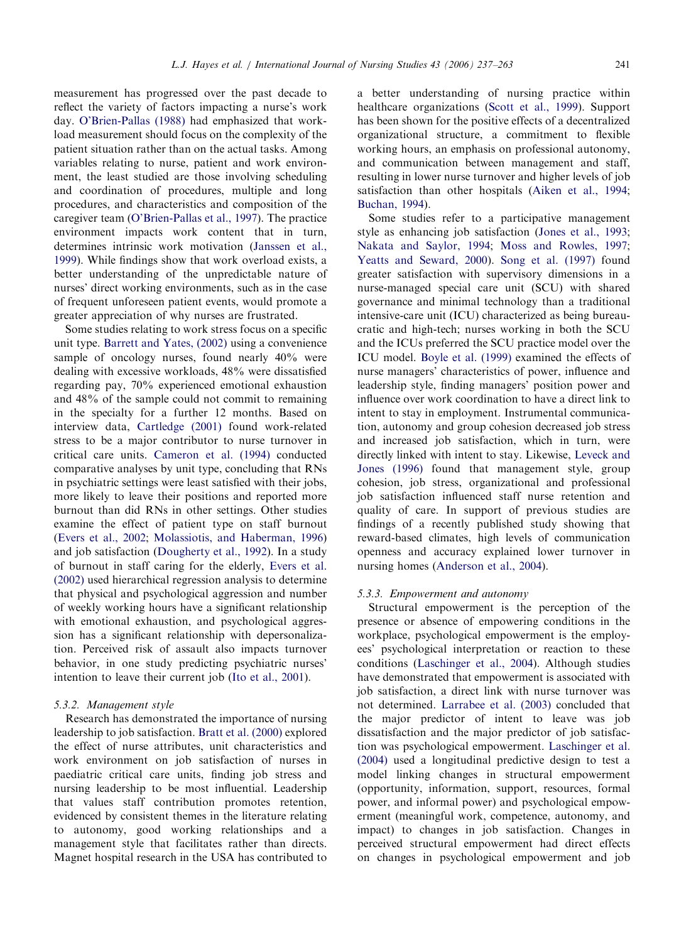measurement has progressed over the past decade to reflect the variety of factors impacting a nurse's work day. [O'Brien-Pallas \(1988\)](#page-25-0) had emphasized that workload measurement should focus on the complexity of the patient situation rather than on the actual tasks. Among variables relating to nurse, patient and work environment, the least studied are those involving scheduling and coordination of procedures, multiple and long procedures, and characteristics and composition of the caregiver team [\(O'Brien-Pallas et al., 1997\)](#page-25-0). The practice environment impacts work content that in turn, determines intrinsic work motivation ([Janssen et al.,](#page-24-0) [1999](#page-24-0)). While findings show that work overload exists, a better understanding of the unpredictable nature of nurses' direct working environments, such as in the case of frequent unforeseen patient events, would promote a greater appreciation of why nurses are frustrated.

Some studies relating to work stress focus on a specific unit type. [Barrett and Yates, \(2002\)](#page-22-0) using a convenience sample of oncology nurses, found nearly 40% were dealing with excessive workloads, 48% were dissatisfied regarding pay, 70% experienced emotional exhaustion and 48% of the sample could not commit to remaining in the specialty for a further 12 months. Based on interview data, [Cartledge \(2001\)](#page-23-0) found work-related stress to be a major contributor to nurse turnover in critical care units. [Cameron et al. \(1994\)](#page-23-0) conducted comparative analyses by unit type, concluding that RNs in psychiatric settings were least satisfied with their jobs, more likely to leave their positions and reported more burnout than did RNs in other settings. Other studies examine the effect of patient type on staff burnout ([Evers et al., 2002;](#page-23-0) [Molassiotis, and Haberman, 1996\)](#page-24-0) and job satisfaction ([Dougherty et al., 1992](#page-23-0)). In a study of burnout in staff caring for the elderly, [Evers et al.](#page-23-0) [\(2002\)](#page-23-0) used hierarchical regression analysis to determine that physical and psychological aggression and number of weekly working hours have a significant relationship with emotional exhaustion, and psychological aggression has a significant relationship with depersonalization. Perceived risk of assault also impacts turnover behavior, in one study predicting psychiatric nurses' intention to leave their current job ([Ito et al., 2001\)](#page-24-0).

### 5.3.2. Management style

Research has demonstrated the importance of nursing leadership to job satisfaction. [Bratt et al. \(2000\)](#page-23-0) explored the effect of nurse attributes, unit characteristics and work environment on job satisfaction of nurses in paediatric critical care units, finding job stress and nursing leadership to be most influential. Leadership that values staff contribution promotes retention, evidenced by consistent themes in the literature relating to autonomy, good working relationships and a management style that facilitates rather than directs. Magnet hospital research in the USA has contributed to a better understanding of nursing practice within healthcare organizations [\(Scott et al., 1999\)](#page-25-0). Support has been shown for the positive effects of a decentralized organizational structure, a commitment to flexible working hours, an emphasis on professional autonomy, and communication between management and staff, resulting in lower nurse turnover and higher levels of job satisfaction than other hospitals ([Aiken et al., 1994](#page-22-0); [Buchan, 1994](#page-23-0)).

Some studies refer to a participative management style as enhancing job satisfaction ([Jones et al., 1993](#page-24-0); [Nakata and Saylor, 1994](#page-25-0); [Moss and Rowles, 1997](#page-25-0); [Yeatts and Seward, 2000](#page-26-0)). [Song et al. \(1997\)](#page-25-0) found greater satisfaction with supervisory dimensions in a nurse-managed special care unit (SCU) with shared governance and minimal technology than a traditional intensive-care unit (ICU) characterized as being bureaucratic and high-tech; nurses working in both the SCU and the ICUs preferred the SCU practice model over the ICU model. [Boyle et al. \(1999\)](#page-23-0) examined the effects of nurse managers' characteristics of power, influence and leadership style, finding managers' position power and influence over work coordination to have a direct link to intent to stay in employment. Instrumental communication, autonomy and group cohesion decreased job stress and increased job satisfaction, which in turn, were directly linked with intent to stay. Likewise, [Leveck and](#page-24-0) [Jones \(1996\)](#page-24-0) found that management style, group cohesion, job stress, organizational and professional job satisfaction influenced staff nurse retention and quality of care. In support of previous studies are findings of a recently published study showing that reward-based climates, high levels of communication openness and accuracy explained lower turnover in nursing homes ([Anderson et al., 2004](#page-22-0)).

#### 5.3.3. Empowerment and autonomy

Structural empowerment is the perception of the presence or absence of empowering conditions in the workplace, psychological empowerment is the employees' psychological interpretation or reaction to these conditions ([Laschinger et al., 2004](#page-24-0)). Although studies have demonstrated that empowerment is associated with job satisfaction, a direct link with nurse turnover was not determined. [Larrabee et al. \(2003\)](#page-24-0) concluded that the major predictor of intent to leave was job dissatisfaction and the major predictor of job satisfaction was psychological empowerment. [Laschinger et al.](#page-24-0) [\(2004\)](#page-24-0) used a longitudinal predictive design to test a model linking changes in structural empowerment (opportunity, information, support, resources, formal power, and informal power) and psychological empowerment (meaningful work, competence, autonomy, and impact) to changes in job satisfaction. Changes in perceived structural empowerment had direct effects on changes in psychological empowerment and job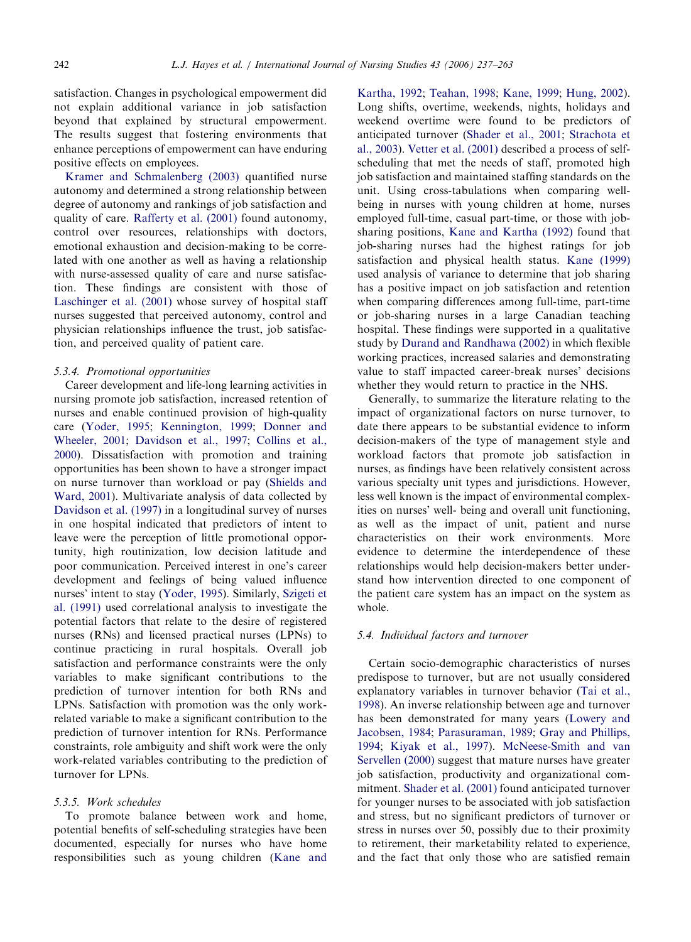satisfaction. Changes in psychological empowerment did not explain additional variance in job satisfaction beyond that explained by structural empowerment. The results suggest that fostering environments that enhance perceptions of empowerment can have enduring positive effects on employees.

[Kramer and Schmalenberg \(2003\)](#page-24-0) quantified nurse autonomy and determined a strong relationship between degree of autonomy and rankings of job satisfaction and quality of care. [Rafferty et al. \(2001\)](#page-25-0) found autonomy, control over resources, relationships with doctors, emotional exhaustion and decision-making to be correlated with one another as well as having a relationship with nurse-assessed quality of care and nurse satisfaction. These findings are consistent with those of [Laschinger et al. \(2001\)](#page-24-0) whose survey of hospital staff nurses suggested that perceived autonomy, control and physician relationships influence the trust, job satisfaction, and perceived quality of patient care.

# 5.3.4. Promotional opportunities

Career development and life-long learning activities in nursing promote job satisfaction, increased retention of nurses and enable continued provision of high-quality care [\(Yoder, 1995](#page-26-0); [Kennington, 1999](#page-24-0); [Donner and](#page-23-0) [Wheeler, 2001](#page-23-0); [Davidson et al., 1997;](#page-23-0) [Collins et al.,](#page-23-0) [2000](#page-23-0)). Dissatisfaction with promotion and training opportunities has been shown to have a stronger impact on nurse turnover than workload or pay [\(Shields and](#page-25-0) [Ward, 2001\)](#page-25-0). Multivariate analysis of data collected by [Davidson et al. \(1997\)](#page-23-0) in a longitudinal survey of nurses in one hospital indicated that predictors of intent to leave were the perception of little promotional opportunity, high routinization, low decision latitude and poor communication. Perceived interest in one's career development and feelings of being valued influence nurses' intent to stay [\(Yoder, 1995](#page-26-0)). Similarly, [Szigeti et](#page-25-0) [al. \(1991\)](#page-25-0) used correlational analysis to investigate the potential factors that relate to the desire of registered nurses (RNs) and licensed practical nurses (LPNs) to continue practicing in rural hospitals. Overall job satisfaction and performance constraints were the only variables to make significant contributions to the prediction of turnover intention for both RNs and LPNs. Satisfaction with promotion was the only workrelated variable to make a significant contribution to the prediction of turnover intention for RNs. Performance constraints, role ambiguity and shift work were the only work-related variables contributing to the prediction of turnover for LPNs.

# 5.3.5. Work schedules

To promote balance between work and home, potential benefits of self-scheduling strategies have been documented, especially for nurses who have home responsibilities such as young children ([Kane and](#page-24-0)

[Kartha, 1992;](#page-24-0) [Teahan, 1998;](#page-25-0) [Kane, 1999;](#page-24-0) [Hung, 2002](#page-24-0)). Long shifts, overtime, weekends, nights, holidays and weekend overtime were found to be predictors of anticipated turnover ([Shader et al., 2001;](#page-25-0) [Strachota et](#page-25-0) [al., 2003\)](#page-25-0). [Vetter et al. \(2001\)](#page-25-0) described a process of selfscheduling that met the needs of staff, promoted high job satisfaction and maintained staffing standards on the unit. Using cross-tabulations when comparing wellbeing in nurses with young children at home, nurses employed full-time, casual part-time, or those with jobsharing positions, [Kane and Kartha \(1992\)](#page-24-0) found that job-sharing nurses had the highest ratings for job satisfaction and physical health status. [Kane \(1999\)](#page-24-0) used analysis of variance to determine that job sharing has a positive impact on job satisfaction and retention when comparing differences among full-time, part-time or job-sharing nurses in a large Canadian teaching hospital. These findings were supported in a qualitative study by [Durand and Randhawa \(2002\)](#page-23-0) in which flexible working practices, increased salaries and demonstrating value to staff impacted career-break nurses' decisions whether they would return to practice in the NHS.

Generally, to summarize the literature relating to the impact of organizational factors on nurse turnover, to date there appears to be substantial evidence to inform decision-makers of the type of management style and workload factors that promote job satisfaction in nurses, as findings have been relatively consistent across various specialty unit types and jurisdictions. However, less well known is the impact of environmental complexities on nurses' well- being and overall unit functioning, as well as the impact of unit, patient and nurse characteristics on their work environments. More evidence to determine the interdependence of these relationships would help decision-makers better understand how intervention directed to one component of the patient care system has an impact on the system as whole.

#### 5.4. Individual factors and turnover

Certain socio-demographic characteristics of nurses predispose to turnover, but are not usually considered explanatory variables in turnover behavior ([Tai et al.,](#page-25-0) [1998\)](#page-25-0). An inverse relationship between age and turnover has been demonstrated for many years [\(Lowery and](#page-24-0) [Jacobsen, 1984;](#page-24-0) [Parasuraman, 1989;](#page-25-0) [Gray and Phillips,](#page-23-0) [1994;](#page-23-0) [Kiyak et al., 1997](#page-24-0)). [McNeese-Smith and van](#page-24-0) [Servellen \(2000\)](#page-24-0) suggest that mature nurses have greater job satisfaction, productivity and organizational commitment. [Shader et al. \(2001\)](#page-25-0) found anticipated turnover for younger nurses to be associated with job satisfaction and stress, but no significant predictors of turnover or stress in nurses over 50, possibly due to their proximity to retirement, their marketability related to experience, and the fact that only those who are satisfied remain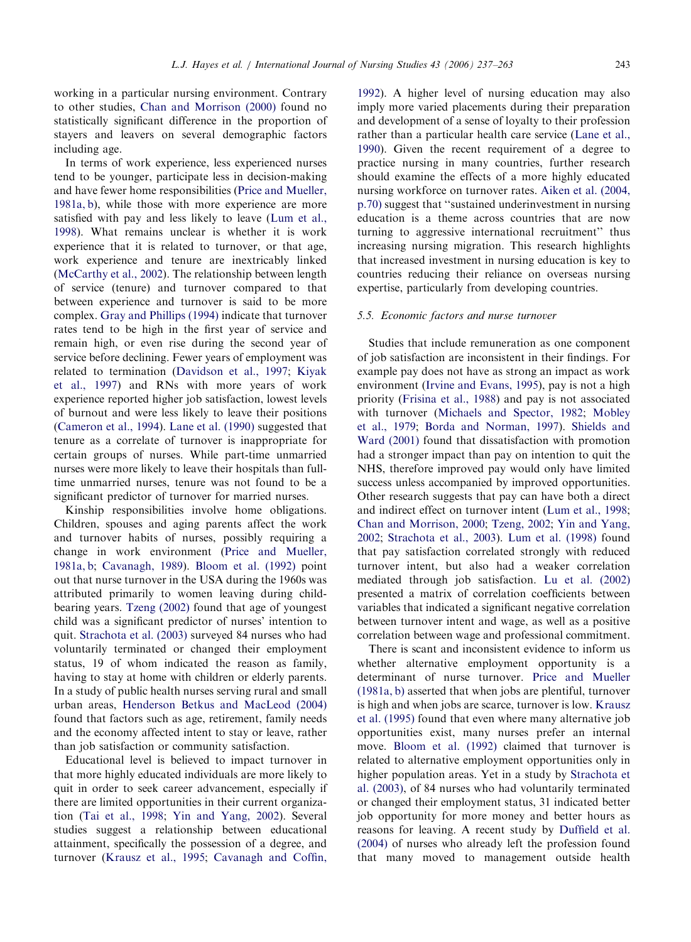working in a particular nursing environment. Contrary to other studies, [Chan and Morrison \(2000\)](#page-23-0) found no statistically significant difference in the proportion of stayers and leavers on several demographic factors including age.

In terms of work experience, less experienced nurses tend to be younger, participate less in decision-making and have fewer home responsibilities [\(Price and Mueller,](#page-25-0) [1981a, b\)](#page-25-0), while those with more experience are more satisfied with pay and less likely to leave [\(Lum et al.,](#page-24-0) [1998](#page-24-0)). What remains unclear is whether it is work experience that it is related to turnover, or that age, work experience and tenure are inextricably linked ([McCarthy et al., 2002](#page-24-0)). The relationship between length of service (tenure) and turnover compared to that between experience and turnover is said to be more complex. [Gray and Phillips \(1994\)](#page-23-0) indicate that turnover rates tend to be high in the first year of service and remain high, or even rise during the second year of service before declining. Fewer years of employment was related to termination ([Davidson et al., 1997;](#page-23-0) [Kiyak](#page-24-0) [et al., 1997](#page-24-0)) and RNs with more years of work experience reported higher job satisfaction, lowest levels of burnout and were less likely to leave their positions ([Cameron et al., 1994](#page-23-0)). [Lane et al. \(1990\)](#page-24-0) suggested that tenure as a correlate of turnover is inappropriate for certain groups of nurses. While part-time unmarried nurses were more likely to leave their hospitals than fulltime unmarried nurses, tenure was not found to be a significant predictor of turnover for married nurses.

Kinship responsibilities involve home obligations. Children, spouses and aging parents affect the work and turnover habits of nurses, possibly requiring a change in work environment [\(Price and Mueller,](#page-25-0) [1981a, b;](#page-25-0) [Cavanagh, 1989](#page-23-0)). [Bloom et al. \(1992\)](#page-22-0) point out that nurse turnover in the USA during the 1960s was attributed primarily to women leaving during childbearing years. [Tzeng \(2002\)](#page-25-0) found that age of youngest child was a significant predictor of nurses' intention to quit. [Strachota et al. \(2003\)](#page-25-0) surveyed 84 nurses who had voluntarily terminated or changed their employment status, 19 of whom indicated the reason as family, having to stay at home with children or elderly parents. In a study of public health nurses serving rural and small urban areas, [Henderson Betkus and MacLeod \(2004\)](#page-24-0) found that factors such as age, retirement, family needs and the economy affected intent to stay or leave, rather than job satisfaction or community satisfaction.

Educational level is believed to impact turnover in that more highly educated individuals are more likely to quit in order to seek career advancement, especially if there are limited opportunities in their current organization [\(Tai et al., 1998](#page-25-0); [Yin and Yang, 2002\)](#page-26-0). Several studies suggest a relationship between educational attainment, specifically the possession of a degree, and turnover [\(Krausz et al., 1995;](#page-24-0) [Cavanagh and Coffin,](#page-23-0)

[1992\)](#page-23-0). A higher level of nursing education may also imply more varied placements during their preparation and development of a sense of loyalty to their profession rather than a particular health care service ([Lane et al.,](#page-24-0) [1990\)](#page-24-0). Given the recent requirement of a degree to practice nursing in many countries, further research should examine the effects of a more highly educated nursing workforce on turnover rates. [Aiken et al. \(2004,](#page-22-0) [p.70\)](#page-22-0) suggest that ''sustained underinvestment in nursing education is a theme across countries that are now turning to aggressive international recruitment'' thus increasing nursing migration. This research highlights that increased investment in nursing education is key to countries reducing their reliance on overseas nursing expertise, particularly from developing countries.

#### 5.5. Economic factors and nurse turnover

Studies that include remuneration as one component of job satisfaction are inconsistent in their findings. For example pay does not have as strong an impact as work environment ([Irvine and Evans, 1995](#page-24-0)), pay is not a high priority [\(Frisina et al., 1988\)](#page-23-0) and pay is not associated with turnover [\(Michaels and Spector, 1982](#page-24-0); [Mobley](#page-24-0) [et al., 1979;](#page-24-0) [Borda and Norman, 1997](#page-23-0)). [Shields and](#page-25-0) [Ward \(2001\)](#page-25-0) found that dissatisfaction with promotion had a stronger impact than pay on intention to quit the NHS, therefore improved pay would only have limited success unless accompanied by improved opportunities. Other research suggests that pay can have both a direct and indirect effect on turnover intent [\(Lum et al., 1998](#page-24-0); [Chan and Morrison, 2000](#page-23-0); [Tzeng, 2002;](#page-25-0) [Yin and Yang,](#page-26-0) [2002;](#page-26-0) [Strachota et al., 2003](#page-25-0)). [Lum et al. \(1998\)](#page-24-0) found that pay satisfaction correlated strongly with reduced turnover intent, but also had a weaker correlation mediated through job satisfaction. [Lu et al. \(2002\)](#page-24-0) presented a matrix of correlation coefficients between variables that indicated a significant negative correlation between turnover intent and wage, as well as a positive correlation between wage and professional commitment.

There is scant and inconsistent evidence to inform us whether alternative employment opportunity is a determinant of nurse turnover. [Price and Mueller](#page-25-0) [\(1981a, b\)](#page-25-0) asserted that when jobs are plentiful, turnover is high and when jobs are scarce, turnover is low. [Krausz](#page-24-0) [et al. \(1995\)](#page-24-0) found that even where many alternative job opportunities exist, many nurses prefer an internal move. [Bloom et al. \(1992\)](#page-22-0) claimed that turnover is related to alternative employment opportunities only in higher population areas. Yet in a study by [Strachota et](#page-25-0) [al. \(2003\),](#page-25-0) of 84 nurses who had voluntarily terminated or changed their employment status, 31 indicated better job opportunity for more money and better hours as reasons for leaving. A recent study by [Duffield et al.](#page-23-0) [\(2004\)](#page-23-0) of nurses who already left the profession found that many moved to management outside health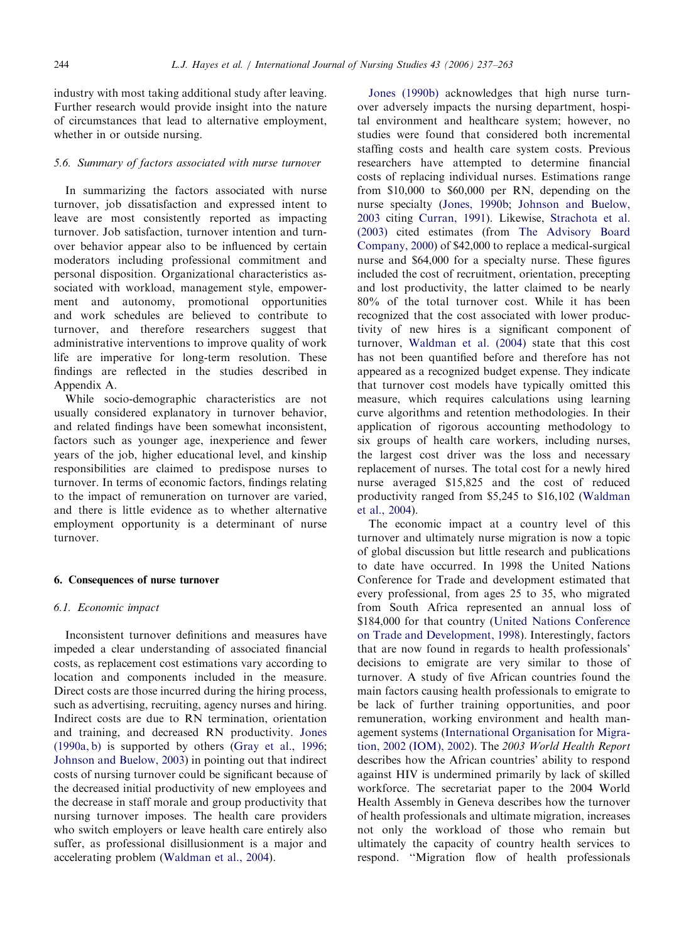industry with most taking additional study after leaving. Further research would provide insight into the nature of circumstances that lead to alternative employment, whether in or outside nursing.

#### 5.6. Summary of factors associated with nurse turnover

In summarizing the factors associated with nurse turnover, job dissatisfaction and expressed intent to leave are most consistently reported as impacting turnover. Job satisfaction, turnover intention and turnover behavior appear also to be influenced by certain moderators including professional commitment and personal disposition. Organizational characteristics associated with workload, management style, empowerment and autonomy, promotional opportunities and work schedules are believed to contribute to turnover, and therefore researchers suggest that administrative interventions to improve quality of work life are imperative for long-term resolution. These findings are reflected in the studies described in Appendix A.

While socio-demographic characteristics are not usually considered explanatory in turnover behavior, and related findings have been somewhat inconsistent, factors such as younger age, inexperience and fewer years of the job, higher educational level, and kinship responsibilities are claimed to predispose nurses to turnover. In terms of economic factors, findings relating to the impact of remuneration on turnover are varied, and there is little evidence as to whether alternative employment opportunity is a determinant of nurse turnover.

#### 6. Consequences of nurse turnover

#### 6.1. Economic impact

Inconsistent turnover definitions and measures have impeded a clear understanding of associated financial costs, as replacement cost estimations vary according to location and components included in the measure. Direct costs are those incurred during the hiring process, such as advertising, recruiting, agency nurses and hiring. Indirect costs are due to RN termination, orientation and training, and decreased RN productivity. [Jones](#page-24-0) [\(1990a, b\)](#page-24-0) is supported by others [\(Gray et al., 1996](#page-23-0); [Johnson and Buelow, 2003](#page-24-0)) in pointing out that indirect costs of nursing turnover could be significant because of the decreased initial productivity of new employees and the decrease in staff morale and group productivity that nursing turnover imposes. The health care providers who switch employers or leave health care entirely also suffer, as professional disillusionment is a major and accelerating problem ([Waldman et al., 2004](#page-25-0)).

[Jones \(1990b\)](#page-24-0) acknowledges that high nurse turnover adversely impacts the nursing department, hospital environment and healthcare system; however, no studies were found that considered both incremental staffing costs and health care system costs. Previous researchers have attempted to determine financial costs of replacing individual nurses. Estimations range from \$10,000 to \$60,000 per RN, depending on the nurse specialty [\(Jones, 1990b;](#page-24-0) [Johnson and Buelow,](#page-24-0) [2003](#page-24-0) citing [Curran, 1991](#page-23-0)). Likewise, [Strachota et al.](#page-25-0) [\(2003\)](#page-25-0) cited estimates (from [The Advisory Board](#page-25-0) [Company, 2000\)](#page-25-0) of \$42,000 to replace a medical-surgical nurse and \$64,000 for a specialty nurse. These figures included the cost of recruitment, orientation, precepting and lost productivity, the latter claimed to be nearly 80% of the total turnover cost. While it has been recognized that the cost associated with lower productivity of new hires is a significant component of turnover, [Waldman et al. \(2004\)](#page-25-0) state that this cost has not been quantified before and therefore has not appeared as a recognized budget expense. They indicate that turnover cost models have typically omitted this measure, which requires calculations using learning curve algorithms and retention methodologies. In their application of rigorous accounting methodology to six groups of health care workers, including nurses, the largest cost driver was the loss and necessary replacement of nurses. The total cost for a newly hired nurse averaged \$15,825 and the cost of reduced productivity ranged from \$5,245 to \$16,102 [\(Waldman](#page-25-0) [et al., 2004](#page-25-0)).

The economic impact at a country level of this turnover and ultimately nurse migration is now a topic of global discussion but little research and publications to date have occurred. In 1998 the United Nations Conference for Trade and development estimated that every professional, from ages 25 to 35, who migrated from South Africa represented an annual loss of \$184,000 for that country [\(United Nations Conference](#page-25-0) [on Trade and Development, 1998](#page-25-0)). Interestingly, factors that are now found in regards to health professionals' decisions to emigrate are very similar to those of turnover. A study of five African countries found the main factors causing health professionals to emigrate to be lack of further training opportunities, and poor remuneration, working environment and health management systems ([International Organisation for Migra](#page-24-0)[tion, 2002 \(IOM\), 2002\)](#page-24-0). The 2003 World Health Report describes how the African countries' ability to respond against HIV is undermined primarily by lack of skilled workforce. The secretariat paper to the 2004 World Health Assembly in Geneva describes how the turnover of health professionals and ultimate migration, increases not only the workload of those who remain but ultimately the capacity of country health services to respond. ''Migration flow of health professionals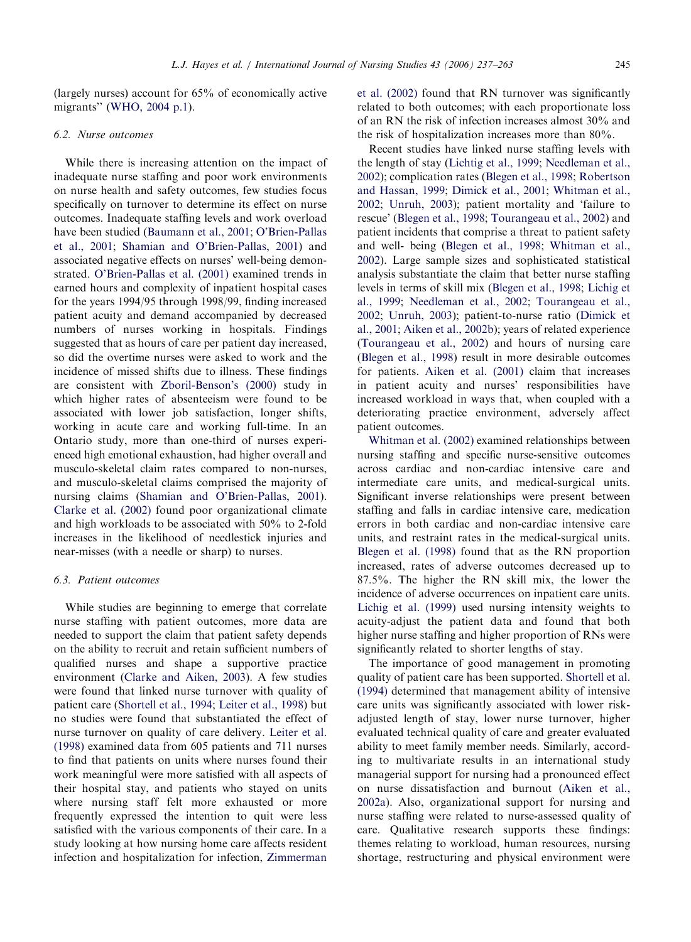(largely nurses) account for 65% of economically active migrants'' ([WHO, 2004 p.1](#page-26-0)).

#### 6.2. Nurse outcomes

While there is increasing attention on the impact of inadequate nurse staffing and poor work environments on nurse health and safety outcomes, few studies focus specifically on turnover to determine its effect on nurse outcomes. Inadequate staffing levels and work overload have been studied [\(Baumann et al., 2001](#page-22-0); [O'Brien-Pallas](#page-25-0) [et al., 2001](#page-25-0); [Shamian and O'Brien-Pallas, 2001](#page-25-0)) and associated negative effects on nurses' well-being demonstrated. [O'Brien-Pallas et al. \(2001\)](#page-25-0) examined trends in earned hours and complexity of inpatient hospital cases for the years 1994/95 through 1998/99, finding increased patient acuity and demand accompanied by decreased numbers of nurses working in hospitals. Findings suggested that as hours of care per patient day increased, so did the overtime nurses were asked to work and the incidence of missed shifts due to illness. These findings are consistent with [Zboril-Benson's \(2000\)](#page-26-0) study in which higher rates of absenteeism were found to be associated with lower job satisfaction, longer shifts, working in acute care and working full-time. In an Ontario study, more than one-third of nurses experienced high emotional exhaustion, had higher overall and musculo-skeletal claim rates compared to non-nurses, and musculo-skeletal claims comprised the majority of nursing claims [\(Shamian and O'Brien-Pallas, 2001](#page-25-0)). [Clarke et al. \(2002\)](#page-23-0) found poor organizational climate and high workloads to be associated with 50% to 2-fold increases in the likelihood of needlestick injuries and near-misses (with a needle or sharp) to nurses.

#### 6.3. Patient outcomes

While studies are beginning to emerge that correlate nurse staffing with patient outcomes, more data are needed to support the claim that patient safety depends on the ability to recruit and retain sufficient numbers of qualified nurses and shape a supportive practice environment ([Clarke and Aiken, 2003\)](#page-23-0). A few studies were found that linked nurse turnover with quality of patient care [\(Shortell et al., 1994](#page-25-0); [Leiter et al., 1998](#page-24-0)) but no studies were found that substantiated the effect of nurse turnover on quality of care delivery. [Leiter et al.](#page-24-0) [\(1998\)](#page-24-0) examined data from 605 patients and 711 nurses to find that patients on units where nurses found their work meaningful were more satisfied with all aspects of their hospital stay, and patients who stayed on units where nursing staff felt more exhausted or more frequently expressed the intention to quit were less satisfied with the various components of their care. In a study looking at how nursing home care affects resident infection and hospitalization for infection, [Zimmerman](#page-26-0) [et al. \(2002\)](#page-26-0) found that RN turnover was significantly related to both outcomes; with each proportionate loss of an RN the risk of infection increases almost 30% and the risk of hospitalization increases more than 80%.

Recent studies have linked nurse staffing levels with the length of stay ([Lichtig et al., 1999;](#page-24-0) [Needleman et al.,](#page-25-0) [2002\)](#page-25-0); complication rates ([Blegen et al., 1998;](#page-22-0) [Robertson](#page-25-0) [and Hassan, 1999;](#page-25-0) [Dimick et al., 2001](#page-23-0); [Whitman et al.,](#page-25-0) [2002;](#page-25-0) [Unruh, 2003](#page-25-0)); patient mortality and 'failure to rescue' ([Blegen et al., 1998](#page-22-0); [Tourangeau et al., 2002](#page-25-0)) and patient incidents that comprise a threat to patient safety and well- being [\(Blegen et al., 1998;](#page-22-0) [Whitman et al.,](#page-25-0) [2002\)](#page-25-0). Large sample sizes and sophisticated statistical analysis substantiate the claim that better nurse staffing levels in terms of skill mix ([Blegen et al., 1998;](#page-22-0) [Lichig et](#page-24-0) [al., 1999;](#page-24-0) [Needleman et al., 2002;](#page-25-0) [Tourangeau et al.,](#page-25-0) [2002;](#page-25-0) [Unruh, 2003](#page-25-0)); patient-to-nurse ratio [\(Dimick et](#page-23-0) [al., 2001](#page-23-0); [Aiken et al., 2002b](#page-22-0)); years of related experience ([Tourangeau et al., 2002\)](#page-25-0) and hours of nursing care ([Blegen et al., 1998](#page-22-0)) result in more desirable outcomes for patients. [Aiken et al. \(2001\)](#page-22-0) claim that increases in patient acuity and nurses' responsibilities have increased workload in ways that, when coupled with a deteriorating practice environment, adversely affect patient outcomes.

[Whitman et al. \(2002\)](#page-25-0) examined relationships between nursing staffing and specific nurse-sensitive outcomes across cardiac and non-cardiac intensive care and intermediate care units, and medical-surgical units. Significant inverse relationships were present between staffing and falls in cardiac intensive care, medication errors in both cardiac and non-cardiac intensive care units, and restraint rates in the medical-surgical units. [Blegen et al. \(1998\)](#page-22-0) found that as the RN proportion increased, rates of adverse outcomes decreased up to 87.5%. The higher the RN skill mix, the lower the incidence of adverse occurrences on inpatient care units. [Lichig et al. \(1999\)](#page-24-0) used nursing intensity weights to acuity-adjust the patient data and found that both higher nurse staffing and higher proportion of RNs were significantly related to shorter lengths of stay.

The importance of good management in promoting quality of patient care has been supported. [Shortell et al.](#page-25-0) [\(1994\)](#page-25-0) determined that management ability of intensive care units was significantly associated with lower riskadjusted length of stay, lower nurse turnover, higher evaluated technical quality of care and greater evaluated ability to meet family member needs. Similarly, according to multivariate results in an international study managerial support for nursing had a pronounced effect on nurse dissatisfaction and burnout ([Aiken et al.,](#page-22-0) [2002a](#page-22-0)). Also, organizational support for nursing and nurse staffing were related to nurse-assessed quality of care. Qualitative research supports these findings: themes relating to workload, human resources, nursing shortage, restructuring and physical environment were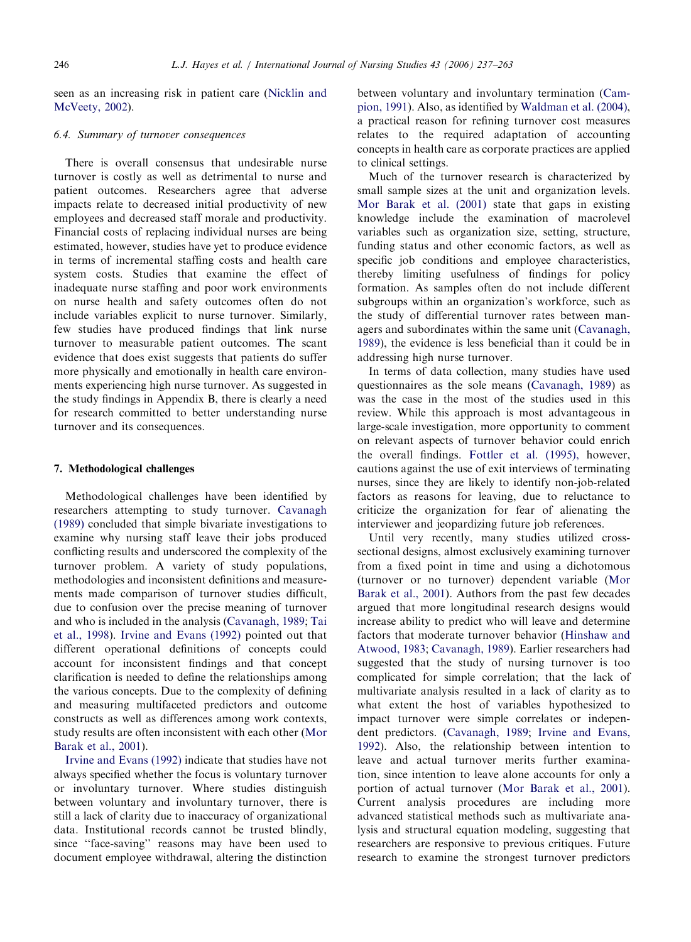seen as an increasing risk in patient care [\(Nicklin and](#page-25-0) [McVeety, 2002](#page-25-0)).

#### 6.4. Summary of turnover consequences

There is overall consensus that undesirable nurse turnover is costly as well as detrimental to nurse and patient outcomes. Researchers agree that adverse impacts relate to decreased initial productivity of new employees and decreased staff morale and productivity. Financial costs of replacing individual nurses are being estimated, however, studies have yet to produce evidence in terms of incremental staffing costs and health care system costs. Studies that examine the effect of inadequate nurse staffing and poor work environments on nurse health and safety outcomes often do not include variables explicit to nurse turnover. Similarly, few studies have produced findings that link nurse turnover to measurable patient outcomes. The scant evidence that does exist suggests that patients do suffer more physically and emotionally in health care environments experiencing high nurse turnover. As suggested in the study findings in Appendix B, there is clearly a need for research committed to better understanding nurse turnover and its consequences.

#### 7. Methodological challenges

Methodological challenges have been identified by researchers attempting to study turnover. [Cavanagh](#page-23-0) [\(1989\)](#page-23-0) concluded that simple bivariate investigations to examine why nursing staff leave their jobs produced conflicting results and underscored the complexity of the turnover problem. A variety of study populations, methodologies and inconsistent definitions and measurements made comparison of turnover studies difficult, due to confusion over the precise meaning of turnover and who is included in the analysis [\(Cavanagh, 1989](#page-23-0); [Tai](#page-25-0) [et al., 1998](#page-25-0)). [Irvine and Evans \(1992\)](#page-24-0) pointed out that different operational definitions of concepts could account for inconsistent findings and that concept clarification is needed to define the relationships among the various concepts. Due to the complexity of defining and measuring multifaceted predictors and outcome constructs as well as differences among work contexts, study results are often inconsistent with each other [\(Mor](#page-25-0) [Barak et al., 2001](#page-25-0)).

[Irvine and Evans \(1992\)](#page-24-0) indicate that studies have not always specified whether the focus is voluntary turnover or involuntary turnover. Where studies distinguish between voluntary and involuntary turnover, there is still a lack of clarity due to inaccuracy of organizational data. Institutional records cannot be trusted blindly, since ''face-saving'' reasons may have been used to document employee withdrawal, altering the distinction between voluntary and involuntary termination ([Cam](#page-23-0)[pion, 1991](#page-23-0)). Also, as identified by [Waldman et al. \(2004\)](#page-25-0), a practical reason for refining turnover cost measures relates to the required adaptation of accounting concepts in health care as corporate practices are applied to clinical settings.

Much of the turnover research is characterized by small sample sizes at the unit and organization levels. [Mor Barak et al. \(2001\)](#page-25-0) state that gaps in existing knowledge include the examination of macrolevel variables such as organization size, setting, structure, funding status and other economic factors, as well as specific job conditions and employee characteristics, thereby limiting usefulness of findings for policy formation. As samples often do not include different subgroups within an organization's workforce, such as the study of differential turnover rates between managers and subordinates within the same unit ([Cavanagh,](#page-23-0) [1989\)](#page-23-0), the evidence is less beneficial than it could be in addressing high nurse turnover.

In terms of data collection, many studies have used questionnaires as the sole means ([Cavanagh, 1989\)](#page-23-0) as was the case in the most of the studies used in this review. While this approach is most advantageous in large-scale investigation, more opportunity to comment on relevant aspects of turnover behavior could enrich the overall findings. [Fottler et al. \(1995\),](#page-23-0) however, cautions against the use of exit interviews of terminating nurses, since they are likely to identify non-job-related factors as reasons for leaving, due to reluctance to criticize the organization for fear of alienating the interviewer and jeopardizing future job references.

Until very recently, many studies utilized crosssectional designs, almost exclusively examining turnover from a fixed point in time and using a dichotomous (turnover or no turnover) dependent variable ([Mor](#page-25-0) [Barak et al., 2001](#page-25-0)). Authors from the past few decades argued that more longitudinal research designs would increase ability to predict who will leave and determine factors that moderate turnover behavior [\(Hinshaw and](#page-24-0) [Atwood, 1983](#page-24-0); [Cavanagh, 1989\)](#page-23-0). Earlier researchers had suggested that the study of nursing turnover is too complicated for simple correlation; that the lack of multivariate analysis resulted in a lack of clarity as to what extent the host of variables hypothesized to impact turnover were simple correlates or independent predictors. [\(Cavanagh, 1989](#page-23-0); [Irvine and Evans,](#page-24-0) [1992\)](#page-24-0). Also, the relationship between intention to leave and actual turnover merits further examination, since intention to leave alone accounts for only a portion of actual turnover ([Mor Barak et al., 2001](#page-25-0)). Current analysis procedures are including more advanced statistical methods such as multivariate analysis and structural equation modeling, suggesting that researchers are responsive to previous critiques. Future research to examine the strongest turnover predictors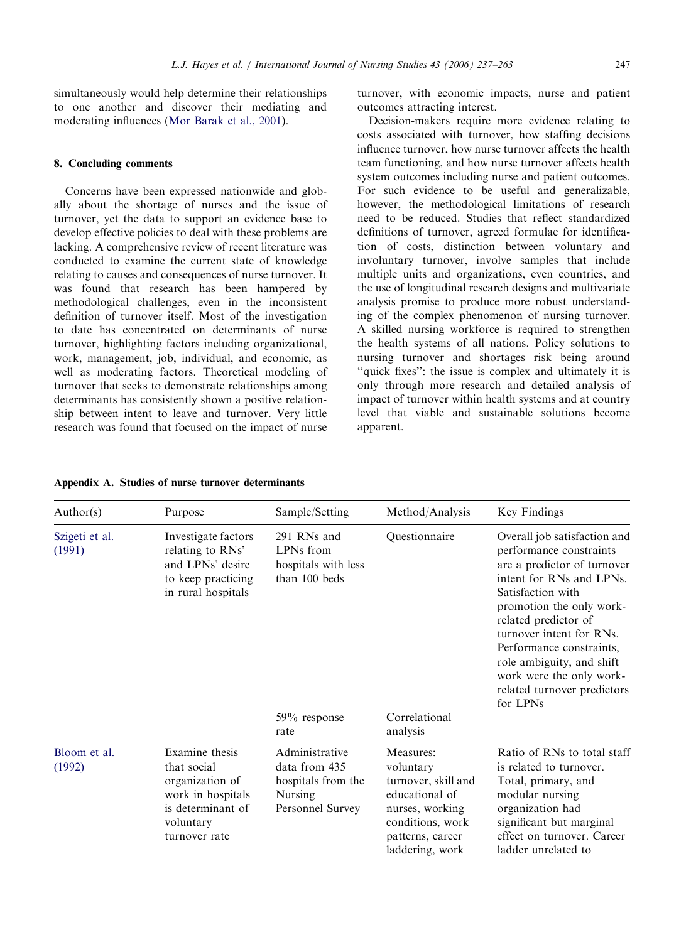simultaneously would help determine their relationships to one another and discover their mediating and moderating influences ([Mor Barak et al., 2001](#page-25-0)).

# 8. Concluding comments

Concerns have been expressed nationwide and globally about the shortage of nurses and the issue of turnover, yet the data to support an evidence base to develop effective policies to deal with these problems are lacking. A comprehensive review of recent literature was conducted to examine the current state of knowledge relating to causes and consequences of nurse turnover. It was found that research has been hampered by methodological challenges, even in the inconsistent definition of turnover itself. Most of the investigation to date has concentrated on determinants of nurse turnover, highlighting factors including organizational, work, management, job, individual, and economic, as well as moderating factors. Theoretical modeling of turnover that seeks to demonstrate relationships among determinants has consistently shown a positive relationship between intent to leave and turnover. Very little research was found that focused on the impact of nurse

# turnover, with economic impacts, nurse and patient outcomes attracting interest.

Decision-makers require more evidence relating to costs associated with turnover, how staffing decisions influence turnover, how nurse turnover affects the health team functioning, and how nurse turnover affects health system outcomes including nurse and patient outcomes. For such evidence to be useful and generalizable, however, the methodological limitations of research need to be reduced. Studies that reflect standardized definitions of turnover, agreed formulae for identification of costs, distinction between voluntary and involuntary turnover, involve samples that include multiple units and organizations, even countries, and the use of longitudinal research designs and multivariate analysis promise to produce more robust understanding of the complex phenomenon of nursing turnover. A skilled nursing workforce is required to strengthen the health systems of all nations. Policy solutions to nursing turnover and shortages risk being around "quick fixes": the issue is complex and ultimately it is only through more research and detailed analysis of impact of turnover within health systems and at country level that viable and sustainable solutions become apparent.

|  |  |  |  | Appendix A. Studies of nurse turnover determinants |
|--|--|--|--|----------------------------------------------------|
|--|--|--|--|----------------------------------------------------|

| Author(s)                | Purpose                                                                                                                  | Sample/Setting                                                                       | Method/Analysis                                                                                                                               | Key Findings                                                                                                                                                                                                                                                                                                                                            |
|--------------------------|--------------------------------------------------------------------------------------------------------------------------|--------------------------------------------------------------------------------------|-----------------------------------------------------------------------------------------------------------------------------------------------|---------------------------------------------------------------------------------------------------------------------------------------------------------------------------------------------------------------------------------------------------------------------------------------------------------------------------------------------------------|
| Szigeti et al.<br>(1991) | Investigate factors<br>relating to RNs'<br>and LPNs' desire<br>to keep practicing<br>in rural hospitals                  | 291 RNs and<br>LPNs from<br>hospitals with less<br>than 100 beds                     | Questionnaire                                                                                                                                 | Overall job satisfaction and<br>performance constraints<br>are a predictor of turnover<br>intent for RNs and LPNs.<br>Satisfaction with<br>promotion the only work-<br>related predictor of<br>turnover intent for RNs.<br>Performance constraints,<br>role ambiguity, and shift<br>work were the only work-<br>related turnover predictors<br>for LPNs |
|                          |                                                                                                                          | $59\%$ response<br>rate                                                              | Correlational<br>analysis                                                                                                                     |                                                                                                                                                                                                                                                                                                                                                         |
| Bloom et al.<br>(1992)   | Examine thesis<br>that social<br>organization of<br>work in hospitals<br>is determinant of<br>voluntary<br>turnover rate | Administrative<br>data from 435<br>hospitals from the<br>Nursing<br>Personnel Survey | Measures:<br>voluntary<br>turnover, skill and<br>educational of<br>nurses, working<br>conditions, work<br>patterns, career<br>laddering, work | Ratio of RNs to total staff<br>is related to turnover.<br>Total, primary, and<br>modular nursing<br>organization had<br>significant but marginal<br>effect on turnover. Career<br>ladder unrelated to                                                                                                                                                   |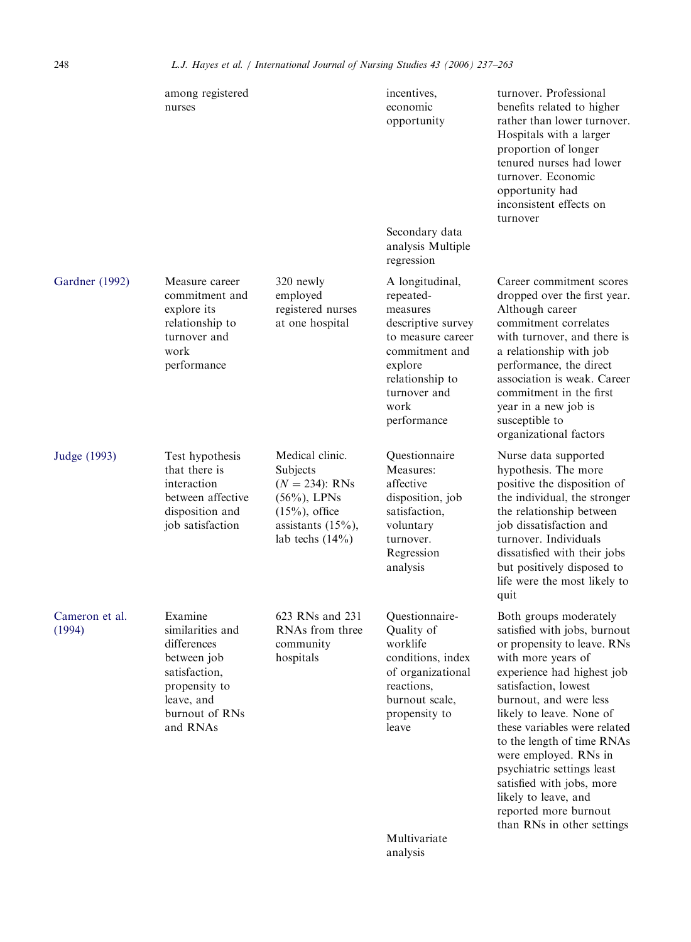|                          | among registered<br>nurses                                                                                                              |                                                                                                                                        | incentives,<br>economic<br>opportunity<br>Secondary data<br>analysis Multiple<br>regression                                                                                | turnover. Professional<br>benefits related to higher<br>rather than lower turnover.<br>Hospitals with a larger<br>proportion of longer<br>tenured nurses had lower<br>turnover. Economic<br>opportunity had<br>inconsistent effects on<br>turnover                                                                                                                                                                                                       |
|--------------------------|-----------------------------------------------------------------------------------------------------------------------------------------|----------------------------------------------------------------------------------------------------------------------------------------|----------------------------------------------------------------------------------------------------------------------------------------------------------------------------|----------------------------------------------------------------------------------------------------------------------------------------------------------------------------------------------------------------------------------------------------------------------------------------------------------------------------------------------------------------------------------------------------------------------------------------------------------|
| Gardner (1992)           | Measure career<br>commitment and<br>explore its<br>relationship to<br>turnover and<br>work<br>performance                               | 320 newly<br>employed<br>registered nurses<br>at one hospital                                                                          | A longitudinal,<br>repeated-<br>measures<br>descriptive survey<br>to measure career<br>commitment and<br>explore<br>relationship to<br>turnover and<br>work<br>performance | Career commitment scores<br>dropped over the first year.<br>Although career<br>commitment correlates<br>with turnover, and there is<br>a relationship with job<br>performance, the direct<br>association is weak. Career<br>commitment in the first<br>year in a new job is<br>susceptible to<br>organizational factors                                                                                                                                  |
| Judge (1993)             | Test hypothesis<br>that there is<br>interaction<br>between affective<br>disposition and<br>job satisfaction                             | Medical clinic.<br>Subjects<br>$(N = 234)$ : RNs<br>$(56\%)$ , LPNs<br>$(15%)$ , office<br>assistants $(15\%)$ ,<br>lab techs $(14\%)$ | Questionnaire<br>Measures:<br>affective<br>disposition, job<br>satisfaction,<br>voluntary<br>turnover.<br>Regression<br>analysis                                           | Nurse data supported<br>hypothesis. The more<br>positive the disposition of<br>the individual, the stronger<br>the relationship between<br>job dissatisfaction and<br>turnover. Individuals<br>dissatisfied with their jobs<br>but positively disposed to<br>life were the most likely to<br>quit                                                                                                                                                        |
| Cameron et al.<br>(1994) | Examine<br>similarities and<br>differences<br>between job<br>satisfaction,<br>propensity to<br>leave, and<br>burnout of RNs<br>and RNAs | 623 RNs and 231<br>RNAs from three<br>community<br>hospitals                                                                           | Questionnaire-<br>Quality of<br>worklife<br>conditions, index<br>of organizational<br>reactions,<br>burnout scale,<br>propensity to<br>leave                               | Both groups moderately<br>satisfied with jobs, burnout<br>or propensity to leave. RNs<br>with more years of<br>experience had highest job<br>satisfaction, lowest<br>burnout, and were less<br>likely to leave. None of<br>these variables were related<br>to the length of time RNAs<br>were employed. RNs in<br>psychiatric settings least<br>satisfied with jobs, more<br>likely to leave, and<br>reported more burnout<br>than RNs in other settings |
|                          |                                                                                                                                         |                                                                                                                                        | Multivariate<br>analysis                                                                                                                                                   |                                                                                                                                                                                                                                                                                                                                                                                                                                                          |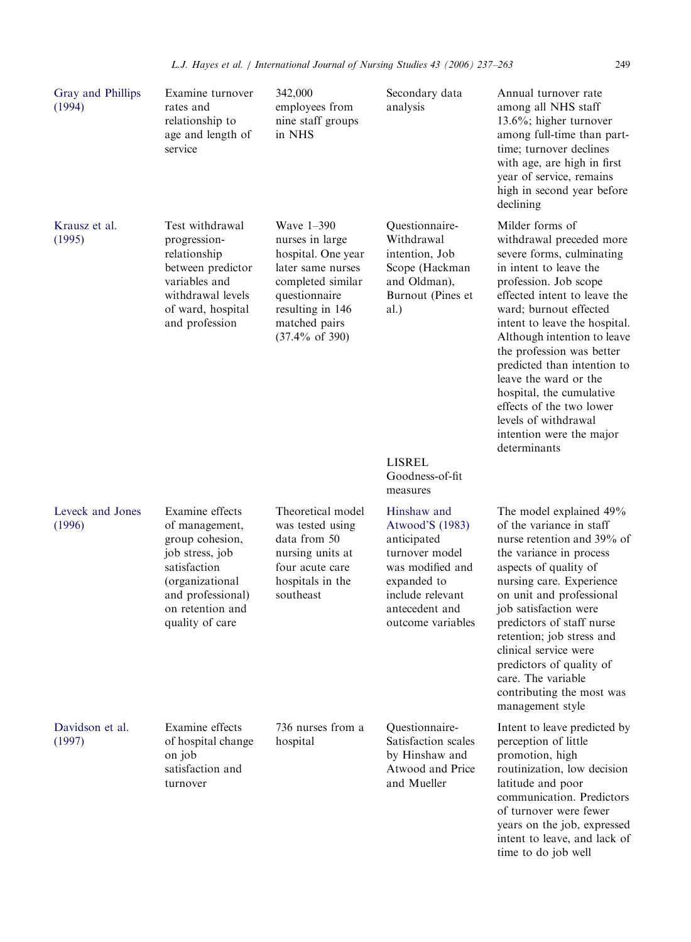| Gray and Phillips<br>(1994) | Examine turnover<br>rates and<br>relationship to<br>age and length of<br>service                                                                                       | 342,000<br>employees from<br>nine staff groups<br>in NHS                                                                                                                          | Secondary data<br>analysis                                                                                                                                    | Annual turnover rate<br>among all NHS staff<br>13.6%; higher turnover<br>among full-time than part-<br>time; turnover declines<br>with age, are high in first<br>year of service, remains<br>high in second year before<br>declining                                                                                                                                                                                                                                   |
|-----------------------------|------------------------------------------------------------------------------------------------------------------------------------------------------------------------|-----------------------------------------------------------------------------------------------------------------------------------------------------------------------------------|---------------------------------------------------------------------------------------------------------------------------------------------------------------|------------------------------------------------------------------------------------------------------------------------------------------------------------------------------------------------------------------------------------------------------------------------------------------------------------------------------------------------------------------------------------------------------------------------------------------------------------------------|
| Krausz et al.<br>(1995)     | Test withdrawal<br>progression-<br>relationship<br>between predictor<br>variables and<br>withdrawal levels<br>of ward, hospital<br>and profession                      | Wave 1-390<br>nurses in large<br>hospital. One year<br>later same nurses<br>completed similar<br>questionnaire<br>resulting in 146<br>matched pairs<br>$(37.4\% \text{ of } 390)$ | Questionnaire-<br>Withdrawal<br>intention, Job<br>Scope (Hackman<br>and Oldman),<br>Burnout (Pines et<br>al.)<br><b>LISREL</b><br>Goodness-of-fit<br>measures | Milder forms of<br>withdrawal preceded more<br>severe forms, culminating<br>in intent to leave the<br>profession. Job scope<br>effected intent to leave the<br>ward; burnout effected<br>intent to leave the hospital.<br>Although intention to leave<br>the profession was better<br>predicted than intention to<br>leave the ward or the<br>hospital, the cumulative<br>effects of the two lower<br>levels of withdrawal<br>intention were the major<br>determinants |
| Leveck and Jones<br>(1996)  | Examine effects<br>of management,<br>group cohesion,<br>job stress, job<br>satisfaction<br>(organizational<br>and professional)<br>on retention and<br>quality of care | Theoretical model<br>was tested using<br>data from 50<br>nursing units at<br>four acute care<br>hospitals in the<br>southeast                                                     | Hinshaw and<br>Atwood'S (1983)<br>anticipated<br>turnover model<br>was modified and<br>expanded to<br>include relevant<br>antecedent and<br>outcome variables | The model explained 49%<br>of the variance in staff<br>nurse retention and 39% of<br>the variance in process<br>aspects of quality of<br>nursing care. Experience<br>on unit and professional<br>job satisfaction were<br>predictors of staff nurse<br>retention; job stress and<br>clinical service were<br>predictors of quality of<br>care. The variable<br>contributing the most was<br>management style                                                           |
| Davidson et al.<br>(1997)   | Examine effects<br>of hospital change<br>on job<br>satisfaction and<br>turnover                                                                                        | 736 nurses from a<br>hospital                                                                                                                                                     | Questionnaire-<br>Satisfaction scales<br>by Hinshaw and<br>Atwood and Price<br>and Mueller                                                                    | Intent to leave predicted by<br>perception of little<br>promotion, high<br>routinization, low decision<br>latitude and poor<br>communication. Predictors<br>of turnover were fewer<br>years on the job, expressed<br>intent to leave, and lack of<br>time to do job well                                                                                                                                                                                               |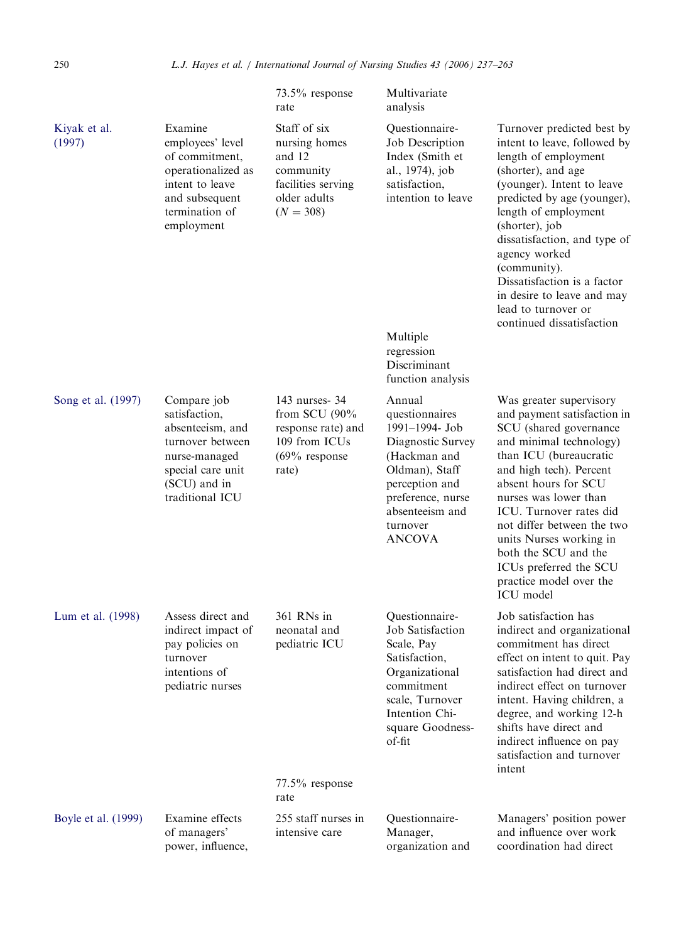|                        |                                                                                                                                               | $73.5\%$ response<br>rate                                                                                 | Multivariate<br>analysis                                                                                                                                                                 |                                                                                                                                                                                                                                                                                                                                                                                                   |
|------------------------|-----------------------------------------------------------------------------------------------------------------------------------------------|-----------------------------------------------------------------------------------------------------------|------------------------------------------------------------------------------------------------------------------------------------------------------------------------------------------|---------------------------------------------------------------------------------------------------------------------------------------------------------------------------------------------------------------------------------------------------------------------------------------------------------------------------------------------------------------------------------------------------|
| Kiyak et al.<br>(1997) | Examine<br>employees' level<br>of commitment,<br>operationalized as<br>intent to leave<br>and subsequent<br>termination of<br>employment      | Staff of six<br>nursing homes<br>and 12<br>community<br>facilities serving<br>older adults<br>$(N = 308)$ | Questionnaire-<br>Job Description<br>Index (Smith et<br>al., 1974), job<br>satisfaction,<br>intention to leave                                                                           | Turnover predicted best by<br>intent to leave, followed by<br>length of employment<br>(shorter), and age<br>(younger). Intent to leave<br>predicted by age (younger),<br>length of employment<br>(shorter), job<br>dissatisfaction, and type of<br>agency worked<br>(community).<br>Dissatisfaction is a factor<br>in desire to leave and may<br>lead to turnover or<br>continued dissatisfaction |
|                        |                                                                                                                                               |                                                                                                           | Multiple<br>regression<br>Discriminant<br>function analysis                                                                                                                              |                                                                                                                                                                                                                                                                                                                                                                                                   |
| Song et al. (1997)     | Compare job<br>satisfaction,<br>absenteeism, and<br>turnover between<br>nurse-managed<br>special care unit<br>(SCU) and in<br>traditional ICU | 143 nurses- 34<br>from SCU $(90\%$<br>response rate) and<br>109 from ICUs<br>$(69\%$ response<br>rate)    | Annual<br>questionnaires<br>1991-1994- Job<br>Diagnostic Survey<br>(Hackman and<br>Oldman), Staff<br>perception and<br>preference, nurse<br>absenteeism and<br>turnover<br><b>ANCOVA</b> | Was greater supervisory<br>and payment satisfaction in<br>SCU (shared governance<br>and minimal technology)<br>than ICU (bureaucratic<br>and high tech). Percent<br>absent hours for SCU<br>nurses was lower than<br>ICU. Turnover rates did<br>not differ between the two<br>units Nurses working in<br>both the SCU and the<br>ICUs preferred the SCU<br>practice model over the<br>ICU model   |
| Lum et al. (1998)      | Assess direct and<br>indirect impact of<br>pay policies on<br>turnover<br>intentions of<br>pediatric nurses                                   | 361 RNs in<br>neonatal and<br>pediatric ICU<br>$77.5\%$ response<br>rate                                  | Questionnaire-<br>Job Satisfaction<br>Scale, Pay<br>Satisfaction,<br>Organizational<br>commitment<br>scale, Turnover<br>Intention Chi-<br>square Goodness-<br>of-fit                     | Job satisfaction has<br>indirect and organizational<br>commitment has direct<br>effect on intent to quit. Pay<br>satisfaction had direct and<br>indirect effect on turnover<br>intent. Having children, a<br>degree, and working 12-h<br>shifts have direct and<br>indirect influence on pay<br>satisfaction and turnover<br>intent                                                               |
| Boyle et al. (1999)    | Examine effects<br>of managers'<br>power, influence,                                                                                          | 255 staff nurses in<br>intensive care                                                                     | Questionnaire-<br>Manager,<br>organization and                                                                                                                                           | Managers' position power<br>and influence over work<br>coordination had direct                                                                                                                                                                                                                                                                                                                    |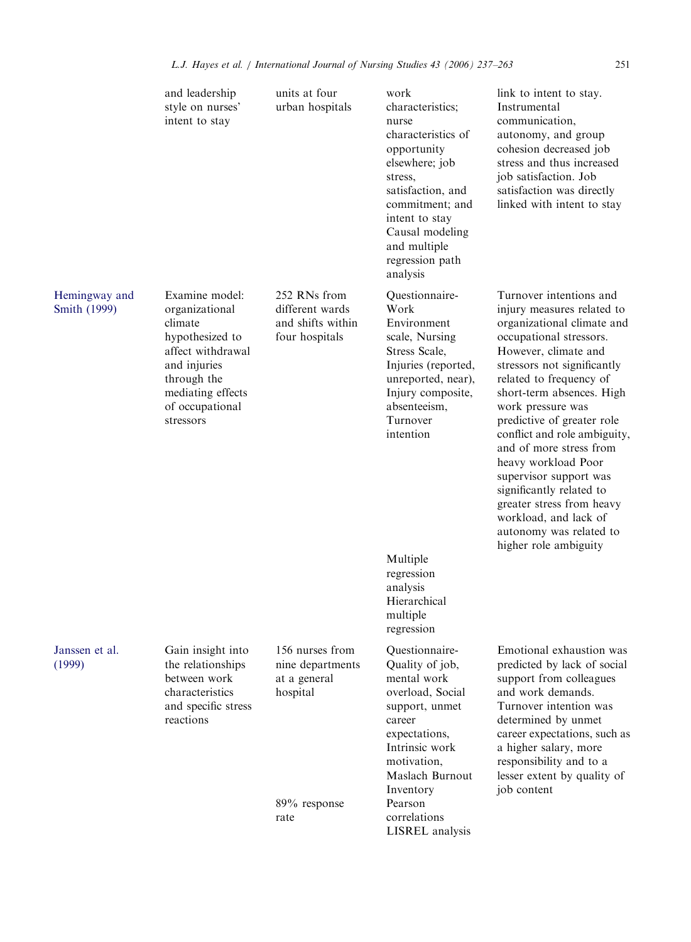|                               | and leadership<br>style on nurses'<br>intent to stay                                                                                                                    | units at four<br>urban hospitals                                       | work<br>characteristics;<br>nurse<br>characteristics of<br>opportunity<br>elsewhere; job<br>stress,<br>satisfaction, and<br>commitment; and<br>intent to stay<br>Causal modeling<br>and multiple<br>regression path<br>analysis | link to intent to stay.<br>Instrumental<br>communication.<br>autonomy, and group<br>cohesion decreased job<br>stress and thus increased<br>job satisfaction. Job<br>satisfaction was directly<br>linked with intent to stay                                                                                                                                                                                                                                                                                                        |
|-------------------------------|-------------------------------------------------------------------------------------------------------------------------------------------------------------------------|------------------------------------------------------------------------|---------------------------------------------------------------------------------------------------------------------------------------------------------------------------------------------------------------------------------|------------------------------------------------------------------------------------------------------------------------------------------------------------------------------------------------------------------------------------------------------------------------------------------------------------------------------------------------------------------------------------------------------------------------------------------------------------------------------------------------------------------------------------|
| Hemingway and<br>Smith (1999) | Examine model:<br>organizational<br>climate<br>hypothesized to<br>affect withdrawal<br>and injuries<br>through the<br>mediating effects<br>of occupational<br>stressors | 252 RNs from<br>different wards<br>and shifts within<br>four hospitals | Questionnaire-<br>Work<br>Environment<br>scale, Nursing<br>Stress Scale,<br>Injuries (reported,<br>unreported, near),<br>Injury composite,<br>absenteeism,<br>Turnover<br>intention                                             | Turnover intentions and<br>injury measures related to<br>organizational climate and<br>occupational stressors.<br>However, climate and<br>stressors not significantly<br>related to frequency of<br>short-term absences. High<br>work pressure was<br>predictive of greater role<br>conflict and role ambiguity,<br>and of more stress from<br>heavy workload Poor<br>supervisor support was<br>significantly related to<br>greater stress from heavy<br>workload, and lack of<br>autonomy was related to<br>higher role ambiguity |
|                               |                                                                                                                                                                         |                                                                        | Multiple<br>regression<br>analysis<br>Hierarchical<br>multiple<br>regression                                                                                                                                                    |                                                                                                                                                                                                                                                                                                                                                                                                                                                                                                                                    |
| Janssen et al.<br>(1999)      | Gain insight into<br>the relationships<br>between work<br>characteristics<br>and specific stress<br>reactions                                                           | 156 nurses from<br>nine departments<br>at a general<br>hospital        | Questionnaire-<br>Quality of job,<br>mental work<br>overload, Social<br>support, unmet<br>career<br>expectations,<br>Intrinsic work<br>motivation,<br>Maslach Burnout<br>Inventory                                              | Emotional exhaustion was<br>predicted by lack of social<br>support from colleagues<br>and work demands.<br>Turnover intention was<br>determined by unmet<br>career expectations, such as<br>a higher salary, more<br>responsibility and to a<br>lesser extent by quality of<br>job content                                                                                                                                                                                                                                         |
|                               |                                                                                                                                                                         | 89% response<br>rate                                                   | Pearson<br>correlations<br>LISREL analysis                                                                                                                                                                                      |                                                                                                                                                                                                                                                                                                                                                                                                                                                                                                                                    |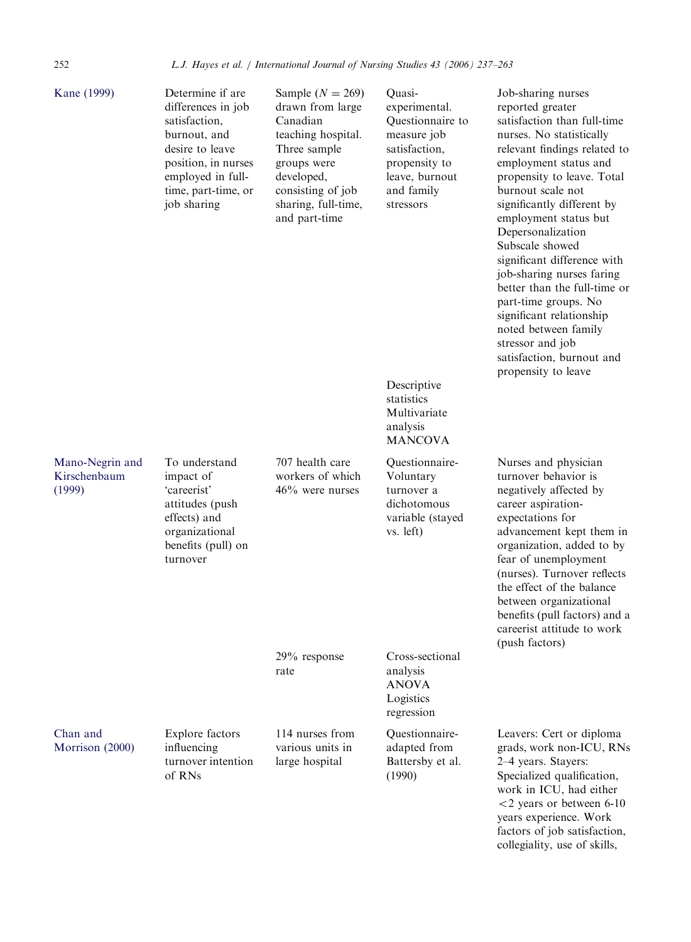| Kane (1999)                               | Determine if are<br>differences in job<br>satisfaction,<br>burnout, and<br>desire to leave<br>position, in nurses<br>employed in full-<br>time, part-time, or<br>job sharing | Sample ( $N = 269$ )<br>drawn from large<br>Canadian<br>teaching hospital.<br>Three sample<br>groups were<br>developed,<br>consisting of job<br>sharing, full-time,<br>and part-time | Quasi-<br>experimental.<br>Questionnaire to<br>measure job<br>satisfaction,<br>propensity to<br>leave, burnout<br>and family<br>stressors | Job-sharing nurses<br>reported greater<br>satisfaction than full-time<br>nurses. No statistically<br>relevant findings related to<br>employment status and<br>propensity to leave. Total<br>burnout scale not<br>significantly different by<br>employment status but<br>Depersonalization<br>Subscale showed<br>significant difference with<br>job-sharing nurses faring<br>better than the full-time or<br>part-time groups. No<br>significant relationship<br>noted between family<br>stressor and job<br>satisfaction, burnout and<br>propensity to leave |
|-------------------------------------------|------------------------------------------------------------------------------------------------------------------------------------------------------------------------------|--------------------------------------------------------------------------------------------------------------------------------------------------------------------------------------|-------------------------------------------------------------------------------------------------------------------------------------------|--------------------------------------------------------------------------------------------------------------------------------------------------------------------------------------------------------------------------------------------------------------------------------------------------------------------------------------------------------------------------------------------------------------------------------------------------------------------------------------------------------------------------------------------------------------|
|                                           |                                                                                                                                                                              |                                                                                                                                                                                      | Descriptive<br>statistics<br>Multivariate<br>analysis<br><b>MANCOVA</b>                                                                   |                                                                                                                                                                                                                                                                                                                                                                                                                                                                                                                                                              |
| Mano-Negrin and<br>Kirschenbaum<br>(1999) | To understand<br>impact of<br>'careerist'<br>attitudes (push<br>effects) and<br>organizational<br>benefits (pull) on<br>turnover                                             | 707 health care<br>workers of which<br>$46\%$ were nurses                                                                                                                            | Questionnaire-<br>Voluntary<br>turnover a<br>dichotomous<br>variable (stayed<br>vs. left)                                                 | Nurses and physician<br>turnover behavior is<br>negatively affected by<br>career aspiration-<br>expectations for<br>advancement kept them in<br>organization, added to by<br>fear of unemployment<br>(nurses). Turnover reflects<br>the effect of the balance<br>between organizational<br>benefits (pull factors) and a<br>careerist attitude to work<br>(push factors)                                                                                                                                                                                     |
|                                           |                                                                                                                                                                              | $29\%$ response<br>rate                                                                                                                                                              | Cross-sectional<br>analysis<br><b>ANOVA</b><br>Logistics<br>regression                                                                    |                                                                                                                                                                                                                                                                                                                                                                                                                                                                                                                                                              |
| Chan and<br>Morrison (2000)               | Explore factors<br>influencing<br>turnover intention<br>of RNs                                                                                                               | 114 nurses from<br>various units in<br>large hospital                                                                                                                                | Questionnaire-<br>adapted from<br>Battersby et al.<br>(1990)                                                                              | Leavers: Cert or diploma<br>grads, work non-ICU, RNs<br>2-4 years. Stayers:<br>Specialized qualification,<br>work in ICU, had either<br>$<$ 2 years or between 6-10<br>years experience. Work                                                                                                                                                                                                                                                                                                                                                                |

factors of job satisfaction, collegiality, use of skills,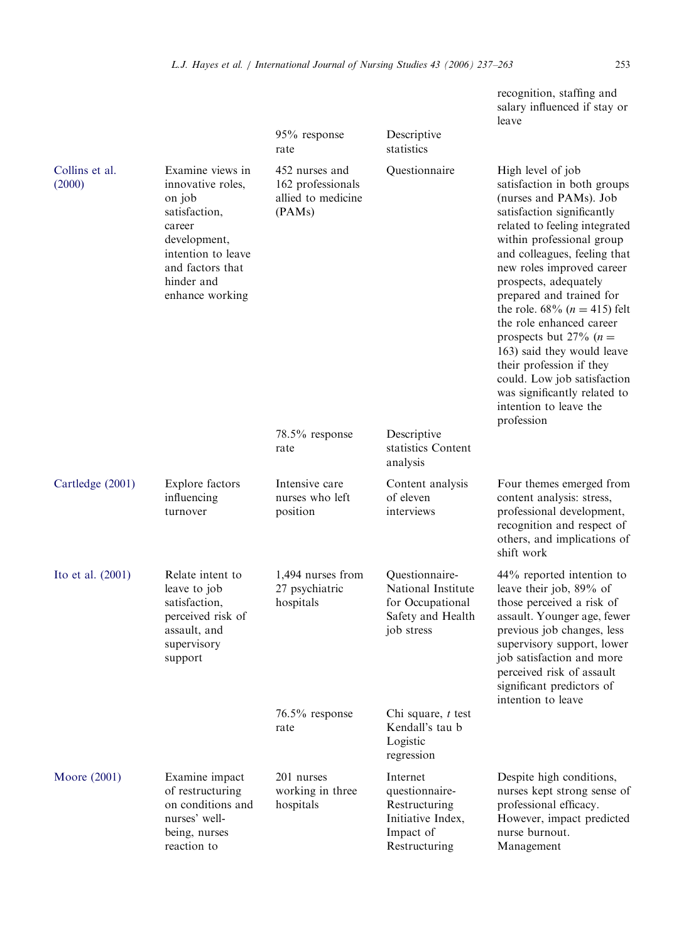|                          |                                                                                                                                                                       | 95% response<br>rate                                                | Descriptive<br>statistics                                                                      | leave                                                                                                                                                                                                                                                                                                                                                                                                                                                                                                                                                         |
|--------------------------|-----------------------------------------------------------------------------------------------------------------------------------------------------------------------|---------------------------------------------------------------------|------------------------------------------------------------------------------------------------|---------------------------------------------------------------------------------------------------------------------------------------------------------------------------------------------------------------------------------------------------------------------------------------------------------------------------------------------------------------------------------------------------------------------------------------------------------------------------------------------------------------------------------------------------------------|
| Collins et al.<br>(2000) | Examine views in<br>innovative roles,<br>on job<br>satisfaction,<br>career<br>development,<br>intention to leave<br>and factors that<br>hinder and<br>enhance working | 452 nurses and<br>162 professionals<br>allied to medicine<br>(PAMs) | Questionnaire                                                                                  | High level of job<br>satisfaction in both groups<br>(nurses and PAMs). Job<br>satisfaction significantly<br>related to feeling integrated<br>within professional group<br>and colleagues, feeling that<br>new roles improved career<br>prospects, adequately<br>prepared and trained for<br>the role. $68\%$ ( <i>n</i> = 415) felt<br>the role enhanced career<br>prospects but 27% ( $n =$<br>163) said they would leave<br>their profession if they<br>could. Low job satisfaction<br>was significantly related to<br>intention to leave the<br>profession |
|                          |                                                                                                                                                                       | $78.5\%$ response<br>rate                                           | Descriptive<br>statistics Content<br>analysis                                                  |                                                                                                                                                                                                                                                                                                                                                                                                                                                                                                                                                               |
| Cartledge (2001)         | Explore factors<br>influencing<br>turnover                                                                                                                            | Intensive care<br>nurses who left<br>position                       | Content analysis<br>of eleven<br>interviews                                                    | Four themes emerged from<br>content analysis: stress,<br>professional development,<br>recognition and respect of<br>others, and implications of<br>shift work                                                                                                                                                                                                                                                                                                                                                                                                 |
| Ito et al. (2001)        | Relate intent to<br>leave to job<br>satisfaction,<br>perceived risk of<br>assault, and<br>supervisory<br>support                                                      | 1,494 nurses from<br>27 psychiatric<br>hospitals                    | Questionnaire-<br>National Institute<br>for Occupational<br>Safety and Health<br>job stress    | 44% reported intention to<br>leave their job, 89% of<br>those perceived a risk of<br>assault. Younger age, fewer<br>previous job changes, less<br>supervisory support, lower<br>job satisfaction and more<br>perceived risk of assault<br>significant predictors of<br>intention to leave                                                                                                                                                                                                                                                                     |
|                          |                                                                                                                                                                       | 76.5% response<br>rate                                              | Chi square, $t$ test<br>Kendall's tau b<br>Logistic<br>regression                              |                                                                                                                                                                                                                                                                                                                                                                                                                                                                                                                                                               |
| Moore (2001)             | Examine impact<br>of restructuring<br>on conditions and<br>nurses' well-<br>being, nurses<br>reaction to                                                              | 201 nurses<br>working in three<br>hospitals                         | Internet<br>questionnaire-<br>Restructuring<br>Initiative Index,<br>Impact of<br>Restructuring | Despite high conditions,<br>nurses kept strong sense of<br>professional efficacy.<br>However, impact predicted<br>nurse burnout.<br>Management                                                                                                                                                                                                                                                                                                                                                                                                                |

recognition, staffing and salary influenced if stay or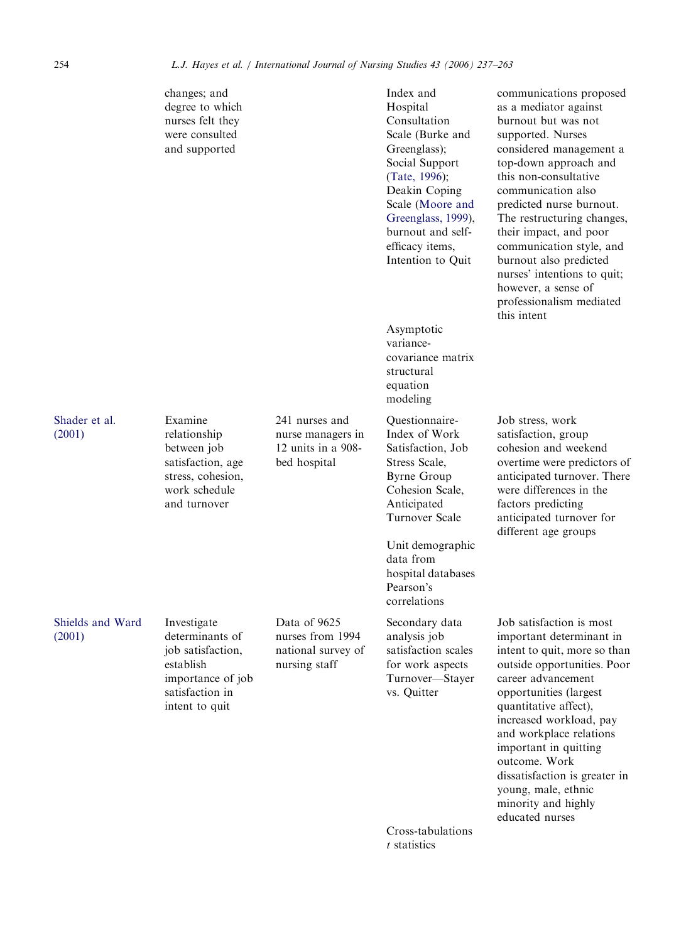|                            | changes; and<br>degree to which<br>nurses felt they<br>were consulted<br>and supported                                     |                                                                           | Index and<br>Hospital<br>Consultation<br>Scale (Burke and<br>Greenglass);<br>Social Support<br>(Tate, 1996);<br>Deakin Coping<br>Scale (Moore and<br>Greenglass, 1999),<br>burnout and self-<br>efficacy items,<br>Intention to Quit | communications proposed<br>as a mediator against<br>burnout but was not<br>supported. Nurses<br>considered management a<br>top-down approach and<br>this non-consultative<br>communication also<br>predicted nurse burnout.<br>The restructuring changes,<br>their impact, and poor<br>communication style, and<br>burnout also predicted<br>nurses' intentions to quit;<br>however, a sense of<br>professionalism mediated<br>this intent |
|----------------------------|----------------------------------------------------------------------------------------------------------------------------|---------------------------------------------------------------------------|--------------------------------------------------------------------------------------------------------------------------------------------------------------------------------------------------------------------------------------|--------------------------------------------------------------------------------------------------------------------------------------------------------------------------------------------------------------------------------------------------------------------------------------------------------------------------------------------------------------------------------------------------------------------------------------------|
|                            |                                                                                                                            |                                                                           | Asymptotic<br>variance-<br>covariance matrix<br>structural<br>equation<br>modeling                                                                                                                                                   |                                                                                                                                                                                                                                                                                                                                                                                                                                            |
| Shader et al.<br>(2001)    | Examine<br>relationship<br>between job<br>satisfaction, age<br>stress, cohesion,<br>work schedule<br>and turnover          | 241 nurses and<br>nurse managers in<br>12 units in a 908-<br>bed hospital | Questionnaire-<br>Index of Work<br>Satisfaction, Job<br>Stress Scale,<br><b>Byrne Group</b><br>Cohesion Scale,<br>Anticipated<br>Turnover Scale                                                                                      | Job stress, work<br>satisfaction, group<br>cohesion and weekend<br>overtime were predictors of<br>anticipated turnover. There<br>were differences in the<br>factors predicting<br>anticipated turnover for<br>different age groups                                                                                                                                                                                                         |
|                            |                                                                                                                            |                                                                           | Unit demographic<br>data from<br>hospital databases<br>Pearson's<br>correlations                                                                                                                                                     |                                                                                                                                                                                                                                                                                                                                                                                                                                            |
| Shields and Ward<br>(2001) | Investigate<br>determinants of<br>job satisfaction,<br>establish<br>importance of job<br>satisfaction in<br>intent to quit | Data of 9625<br>nurses from 1994<br>national survey of<br>nursing staff   | Secondary data<br>analysis job<br>satisfaction scales<br>for work aspects<br>Turnover-Stayer<br>vs. Quitter                                                                                                                          | Job satisfaction is most<br>important determinant in<br>intent to quit, more so than<br>outside opportunities. Poor<br>career advancement<br>opportunities (largest<br>quantitative affect),<br>increased workload, pay<br>and workplace relations<br>important in quitting<br>outcome. Work<br>dissatisfaction is greater in<br>young, male, ethnic<br>minority and highly<br>educated nurses                                             |
|                            |                                                                                                                            |                                                                           | Cross-tabulations<br>$t$ statistics                                                                                                                                                                                                  |                                                                                                                                                                                                                                                                                                                                                                                                                                            |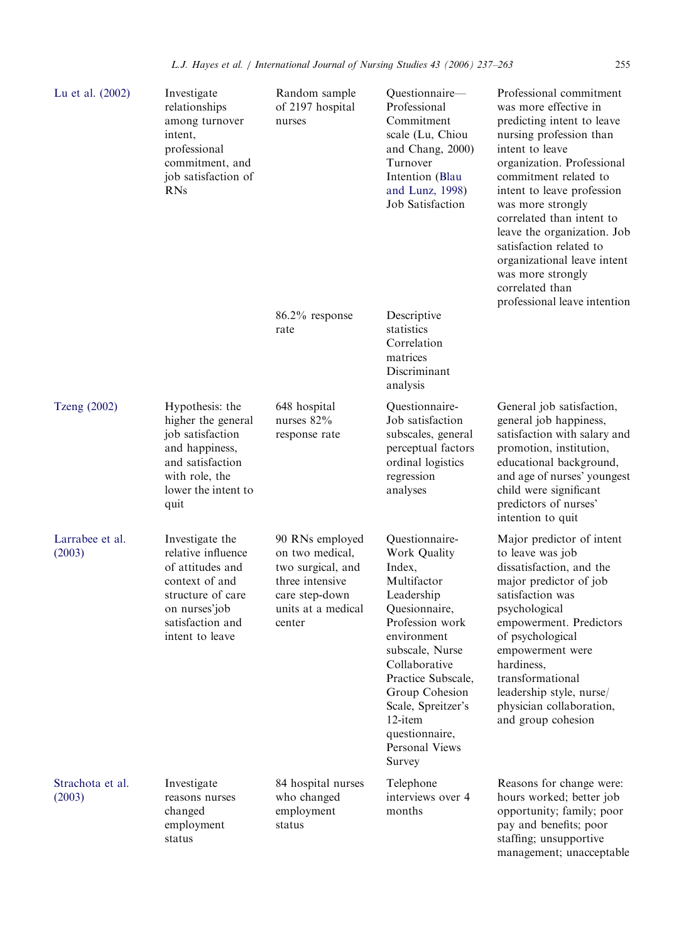| Lu et al. (2002)           | Investigate<br>relationships<br>among turnover<br>intent,<br>professional<br>commitment, and<br>job satisfaction of<br><b>RNs</b>                        | Random sample<br>of 2197 hospital<br>nurses                                                                                  | Questionnaire-<br>Professional<br>Commitment<br>scale (Lu, Chiou<br>and Chang, 2000)<br>Turnover<br>Intention (Blau<br>and Lunz, 1998)<br>Job Satisfaction                                                                                                                          | Professional commitment<br>was more effective in<br>predicting intent to leave<br>nursing profession than<br>intent to leave<br>organization. Professional<br>commitment related to<br>intent to leave profession<br>was more strongly<br>correlated than intent to<br>leave the organization. Job<br>satisfaction related to<br>organizational leave intent<br>was more strongly<br>correlated than<br>professional leave intention |
|----------------------------|----------------------------------------------------------------------------------------------------------------------------------------------------------|------------------------------------------------------------------------------------------------------------------------------|-------------------------------------------------------------------------------------------------------------------------------------------------------------------------------------------------------------------------------------------------------------------------------------|--------------------------------------------------------------------------------------------------------------------------------------------------------------------------------------------------------------------------------------------------------------------------------------------------------------------------------------------------------------------------------------------------------------------------------------|
|                            |                                                                                                                                                          | 86.2% response<br>rate                                                                                                       | Descriptive<br>statistics<br>Correlation<br>matrices<br>Discriminant<br>analysis                                                                                                                                                                                                    |                                                                                                                                                                                                                                                                                                                                                                                                                                      |
| <b>Tzeng (2002)</b>        | Hypothesis: the<br>higher the general<br>job satisfaction<br>and happiness,<br>and satisfaction<br>with role, the<br>lower the intent to<br>quit         | 648 hospital<br>nurses 82%<br>response rate                                                                                  | Questionnaire-<br>Job satisfaction<br>subscales, general<br>perceptual factors<br>ordinal logistics<br>regression<br>analyses                                                                                                                                                       | General job satisfaction,<br>general job happiness,<br>satisfaction with salary and<br>promotion, institution,<br>educational background,<br>and age of nurses' youngest<br>child were significant<br>predictors of nurses'<br>intention to quit                                                                                                                                                                                     |
| Larrabee et al.<br>(2003)  | Investigate the<br>relative influence<br>of attitudes and<br>context of and<br>structure of care<br>on nurses'job<br>satisfaction and<br>intent to leave | 90 RNs employed<br>on two medical,<br>two surgical, and<br>three intensive<br>care step-down<br>units at a medical<br>center | Questionnaire-<br>Work Quality<br>Index,<br>Multifactor<br>Leadership<br>Quesionnaire,<br>Profession work<br>environment<br>subscale, Nurse<br>Collaborative<br>Practice Subscale,<br>Group Cohesion<br>Scale, Spreitzer's<br>12-item<br>questionnaire,<br>Personal Views<br>Survey | Major predictor of intent<br>to leave was job<br>dissatisfaction, and the<br>major predictor of job<br>satisfaction was<br>psychological<br>empowerment. Predictors<br>of psychological<br>empowerment were<br>hardiness,<br>transformational<br>leadership style, nurse/<br>physician collaboration,<br>and group cohesion                                                                                                          |
| Strachota et al.<br>(2003) | Investigate<br>reasons nurses<br>changed<br>employment<br>status                                                                                         | 84 hospital nurses<br>who changed<br>employment<br>status                                                                    | Telephone<br>interviews over 4<br>months                                                                                                                                                                                                                                            | Reasons for change were:<br>hours worked; better job<br>opportunity; family; poor<br>pay and benefits; poor<br>staffing; unsupportive<br>management; unacceptable                                                                                                                                                                                                                                                                    |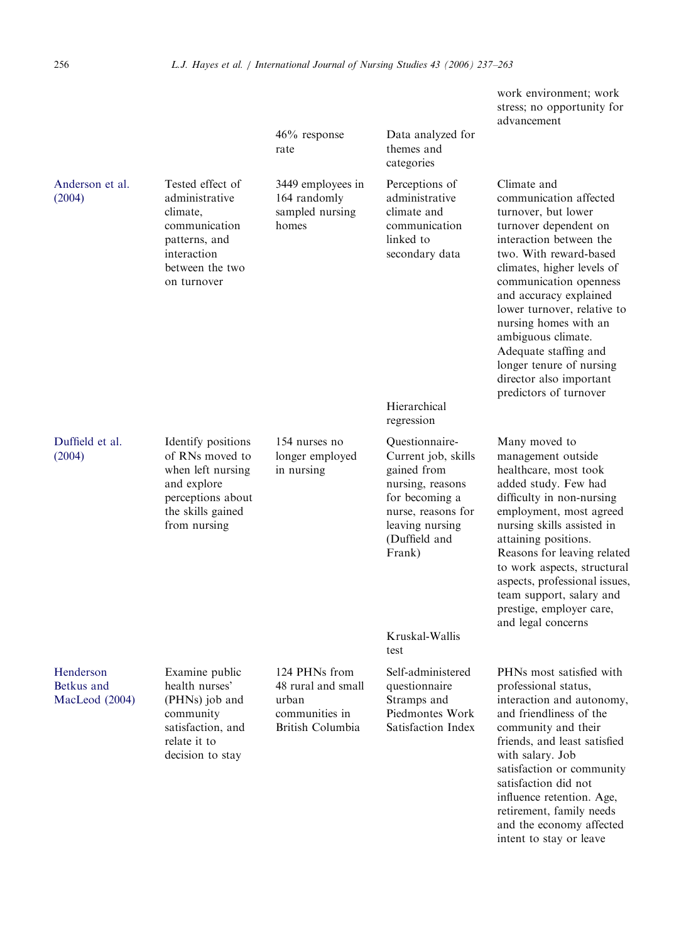|                                           |                                                                                                                                     | $46\%$ response<br>rate                                                            | Data analyzed for<br>themes and<br>categories                                                                                                                                | work environment; work<br>stress; no opportunity for<br>advancement                                                                                                                                                                                                                                                                                                                                                  |
|-------------------------------------------|-------------------------------------------------------------------------------------------------------------------------------------|------------------------------------------------------------------------------------|------------------------------------------------------------------------------------------------------------------------------------------------------------------------------|----------------------------------------------------------------------------------------------------------------------------------------------------------------------------------------------------------------------------------------------------------------------------------------------------------------------------------------------------------------------------------------------------------------------|
| Anderson et al.<br>(2004)                 | Tested effect of<br>administrative<br>climate,<br>communication<br>patterns, and<br>interaction<br>between the two<br>on turnover   | 3449 employees in<br>164 randomly<br>sampled nursing<br>homes                      | Perceptions of<br>administrative<br>climate and<br>communication<br>linked to<br>secondary data<br>Hierarchical                                                              | Climate and<br>communication affected<br>turnover, but lower<br>turnover dependent on<br>interaction between the<br>two. With reward-based<br>climates, higher levels of<br>communication openness<br>and accuracy explained<br>lower turnover, relative to<br>nursing homes with an<br>ambiguous climate.<br>Adequate staffing and<br>longer tenure of nursing<br>director also important<br>predictors of turnover |
| Duffield et al.<br>(2004)                 | Identify positions<br>of RNs moved to<br>when left nursing<br>and explore<br>perceptions about<br>the skills gained<br>from nursing | 154 nurses no<br>longer employed<br>in nursing                                     | regression<br>Questionnaire-<br>Current job, skills<br>gained from<br>nursing, reasons<br>for becoming a<br>nurse, reasons for<br>leaving nursing<br>(Duffield and<br>Frank) | Many moved to<br>management outside<br>healthcare, most took<br>added study. Few had<br>difficulty in non-nursing<br>employment, most agreed<br>nursing skills assisted in<br>attaining positions.<br>Reasons for leaving related<br>to work aspects, structural<br>aspects, professional issues,<br>team support, salary and<br>prestige, employer care,<br>and legal concerns                                      |
|                                           |                                                                                                                                     |                                                                                    | Kruskal-Wallis<br>test                                                                                                                                                       |                                                                                                                                                                                                                                                                                                                                                                                                                      |
| Henderson<br>Betkus and<br>MacLeod (2004) | Examine public<br>health nurses'<br>(PHNs) job and<br>community<br>satisfaction, and<br>relate it to<br>decision to stay            | 124 PHNs from<br>48 rural and small<br>urban<br>communities in<br>British Columbia | Self-administered<br>questionnaire<br>Stramps and<br>Piedmontes Work<br>Satisfaction Index                                                                                   | PHNs most satisfied with<br>professional status,<br>interaction and autonomy,<br>and friendliness of the<br>community and their<br>friends, and least satisfied<br>with salary. Job<br>satisfaction or community<br>satisfaction did not<br>influence retention. Age,<br>retirement, family needs<br>and the economy affected<br>intent to stay or leave                                                             |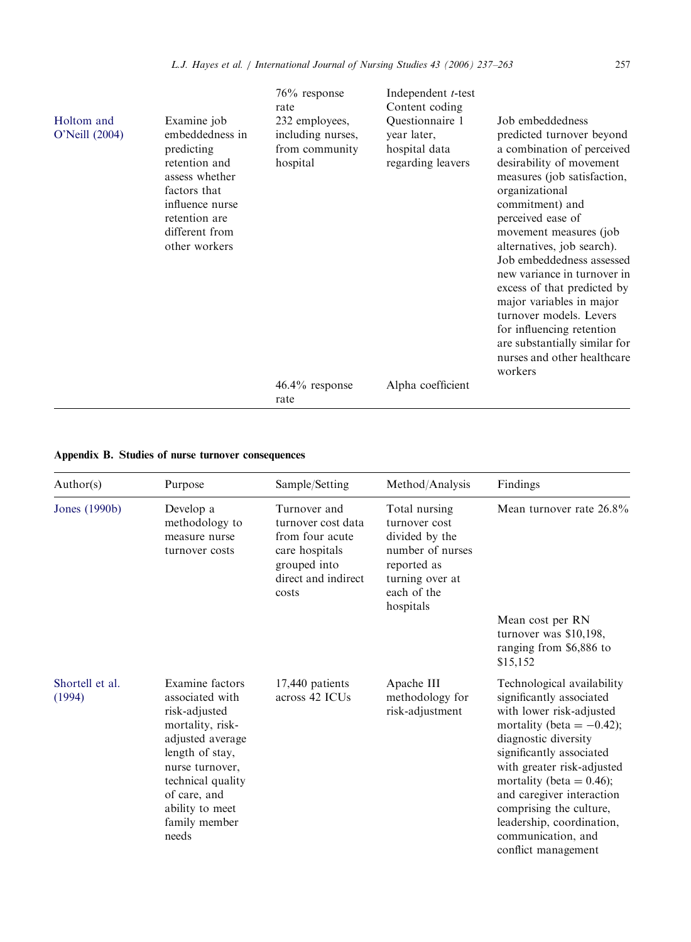| Holtom and<br>O'Neill (2004) | Examine job<br>embeddedness in<br>predicting<br>retention and                                         | $76\%$ response<br>rate<br>232 employees,<br>including nurses,<br>from community | Independent <i>t</i> -test<br>Content coding<br>Questionnaire 1<br>year later,<br>hospital data | Job embeddedness<br>predicted turnover beyond<br>a combination of perceived                                                                                                                                                                                                                                                                                                                                                          |
|------------------------------|-------------------------------------------------------------------------------------------------------|----------------------------------------------------------------------------------|-------------------------------------------------------------------------------------------------|--------------------------------------------------------------------------------------------------------------------------------------------------------------------------------------------------------------------------------------------------------------------------------------------------------------------------------------------------------------------------------------------------------------------------------------|
|                              | assess whether<br>factors that<br>influence nurse<br>retention are<br>different from<br>other workers | hospital                                                                         | regarding leavers                                                                               | desirability of movement<br>measures (job satisfaction,<br>organizational<br>commitment) and<br>perceived ease of<br>movement measures (job)<br>alternatives, job search).<br>Job embeddedness assessed<br>new variance in turnover in<br>excess of that predicted by<br>major variables in major<br>turnover models. Levers<br>for influencing retention<br>are substantially similar for<br>nurses and other healthcare<br>workers |
|                              |                                                                                                       | $46.4\%$ response<br>rate                                                        | Alpha coefficient                                                                               |                                                                                                                                                                                                                                                                                                                                                                                                                                      |
|                              |                                                                                                       |                                                                                  |                                                                                                 |                                                                                                                                                                                                                                                                                                                                                                                                                                      |

# Appendix B. Studies of nurse turnover consequences

| Author(s)                 | Purpose                                                                                                                                                                                                             | Sample/Setting                                                                                                          | Method/Analysis                                                                                                                    | Findings                                                                                                                                                                                                                                                                                                                                                              |
|---------------------------|---------------------------------------------------------------------------------------------------------------------------------------------------------------------------------------------------------------------|-------------------------------------------------------------------------------------------------------------------------|------------------------------------------------------------------------------------------------------------------------------------|-----------------------------------------------------------------------------------------------------------------------------------------------------------------------------------------------------------------------------------------------------------------------------------------------------------------------------------------------------------------------|
| Jones (1990b)             | Develop a<br>methodology to<br>measure nurse<br>turnover costs                                                                                                                                                      | Turnover and<br>turnover cost data<br>from four acute<br>care hospitals<br>grouped into<br>direct and indirect<br>costs | Total nursing<br>turnover cost<br>divided by the<br>number of nurses<br>reported as<br>turning over at<br>each of the<br>hospitals | Mean turnover rate 26.8%                                                                                                                                                                                                                                                                                                                                              |
|                           |                                                                                                                                                                                                                     |                                                                                                                         |                                                                                                                                    | Mean cost per RN<br>turnover was \$10,198,<br>ranging from \$6,886 to<br>\$15,152                                                                                                                                                                                                                                                                                     |
| Shortell et al.<br>(1994) | Examine factors<br>associated with<br>risk-adjusted<br>mortality, risk-<br>adjusted average<br>length of stay,<br>nurse turnover,<br>technical quality<br>of care, and<br>ability to meet<br>family member<br>needs | 17,440 patients<br>across 42 ICUs                                                                                       | Apache III<br>methodology for<br>risk-adjustment                                                                                   | Technological availability<br>significantly associated<br>with lower risk-adjusted<br>mortality (beta $= -0.42$ );<br>diagnostic diversity<br>significantly associated<br>with greater risk-adjusted<br>mortality (beta = $0.46$ );<br>and caregiver interaction<br>comprising the culture,<br>leadership, coordination,<br>communication, and<br>conflict management |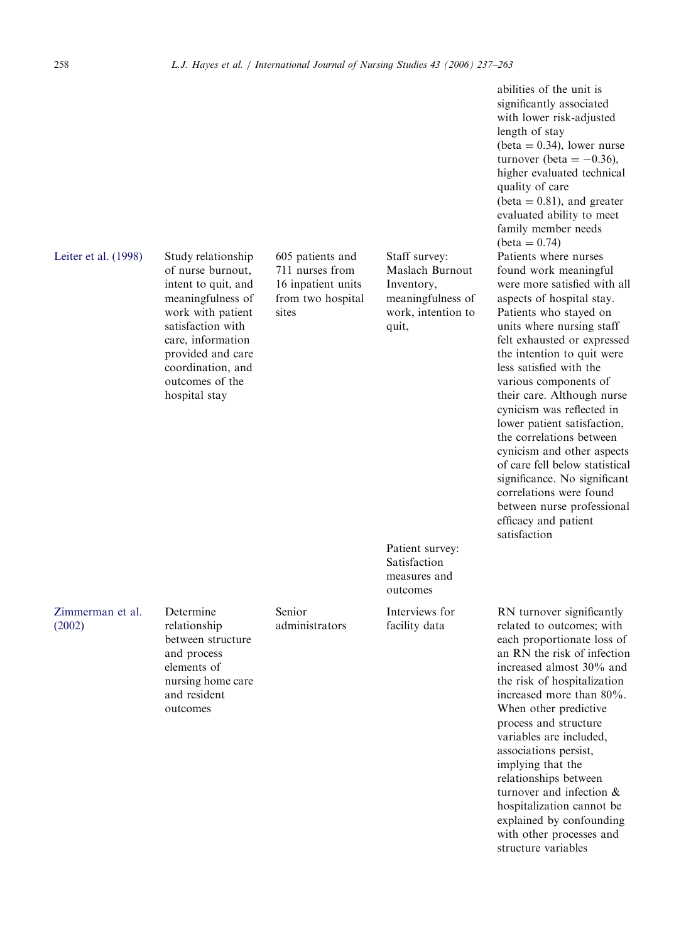# [Leiter et al. \(1998\)](#page-24-0) Study relationship

of nurse burnout, intent to quit, and meaningfulness of work with patient satisfaction with care, information provided and care coordination, and outcomes of the hospital stay

605 patients and 711 nurses from 16 inpatient units from two hospital sites

Staff survey: Maslach Burnout Inventory, meaningfulness of work, intention to quit,

Patient survey: Satisfaction measures and outcomes

Interviews for facility data

abilities of the unit is significantly associated with lower risk-adjusted length of stay  $beta = 0.34$ ), lower nurse turnover (beta  $= -0.36$ ), higher evaluated technical quality of care  $beta = 0.81$ , and greater evaluated ability to meet family member needs  $beta = 0.74$ Patients where nurses found work meaningful were more satisfied with all aspects of hospital stay. Patients who stayed on units where nursing staff felt exhausted or expressed the intention to quit were less satisfied with the various components of their care. Although nurse cynicism was reflected in lower patient satisfaction, the correlations between cynicism and other aspects of care fell below statistical significance. No significant correlations were found between nurse professional efficacy and patient satisfaction

RN turnover significantly related to outcomes; with each proportionate loss of an RN the risk of infection increased almost 30% and the risk of hospitalization increased more than 80%. When other predictive process and structure variables are included, associations persist, implying that the relationships between turnover and infection & hospitalization cannot be explained by confounding with other processes and structure variables

[Zimmerman et al.](#page-26-0) [\(2002\)](#page-26-0)

relationship between structure and process elements of nursing home care and resident outcomes

Determine

Senior administrators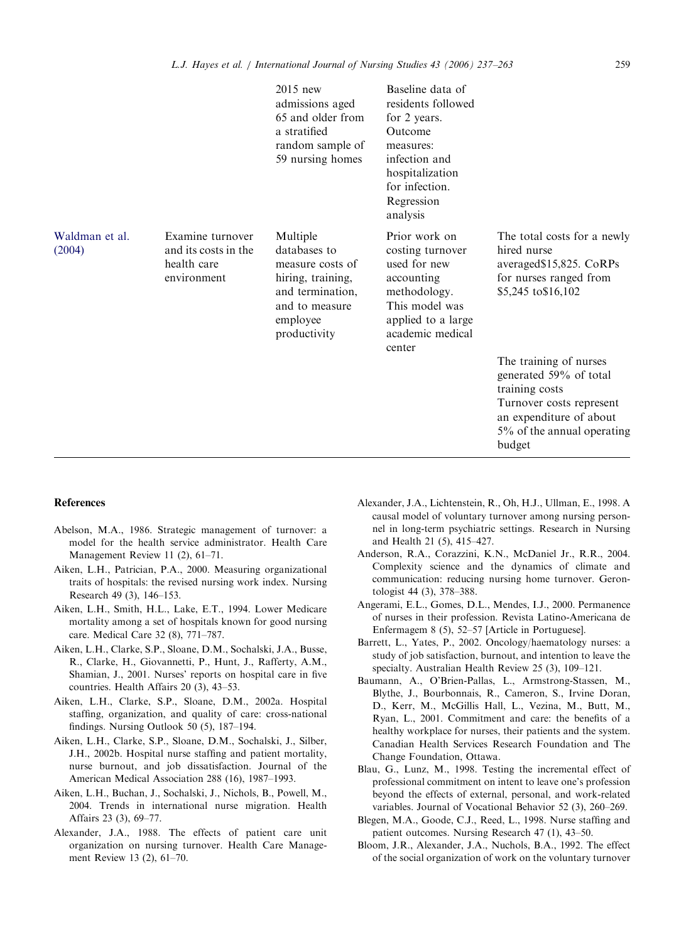<span id="page-22-0"></span>

|                          |                                                                        | 2015 new<br>admissions aged<br>65 and older from<br>a stratified<br>random sample of<br>59 nursing homes                            | Baseline data of<br>residents followed<br>for 2 years.<br>Outcome<br>measures:<br>infection and<br>hospitalization<br>for infection.<br>Regression<br>analysis |                                                                                                                                                                   |
|--------------------------|------------------------------------------------------------------------|-------------------------------------------------------------------------------------------------------------------------------------|----------------------------------------------------------------------------------------------------------------------------------------------------------------|-------------------------------------------------------------------------------------------------------------------------------------------------------------------|
| Waldman et al.<br>(2004) | Examine turnover<br>and its costs in the<br>health care<br>environment | Multiple<br>databases to<br>measure costs of<br>hiring, training,<br>and termination,<br>and to measure<br>employee<br>productivity | Prior work on<br>costing turnover<br>used for new<br>accounting<br>methodology.<br>This model was<br>applied to a large<br>academic medical<br>center          | The total costs for a newly<br>hired nurse<br>averaged\$15,825. CoRPs<br>for nurses ranged from<br>\$5,245 to \$16,102                                            |
|                          |                                                                        |                                                                                                                                     |                                                                                                                                                                | The training of nurses<br>generated 59% of total<br>training costs<br>Turnover costs represent<br>an expenditure of about<br>5% of the annual operating<br>budget |

#### References

- Abelson, M.A., 1986. Strategic management of turnover: a model for the health service administrator. Health Care Management Review 11 (2), 61–71.
- Aiken, L.H., Patrician, P.A., 2000. Measuring organizational traits of hospitals: the revised nursing work index. Nursing Research 49 (3), 146–153.
- Aiken, L.H., Smith, H.L., Lake, E.T., 1994. Lower Medicare mortality among a set of hospitals known for good nursing care. Medical Care 32 (8), 771–787.
- Aiken, L.H., Clarke, S.P., Sloane, D.M., Sochalski, J.A., Busse, R., Clarke, H., Giovannetti, P., Hunt, J., Rafferty, A.M., Shamian, J., 2001. Nurses' reports on hospital care in five countries. Health Affairs 20 (3), 43–53.
- Aiken, L.H., Clarke, S.P., Sloane, D.M., 2002a. Hospital staffing, organization, and quality of care: cross-national findings. Nursing Outlook 50 (5), 187–194.
- Aiken, L.H., Clarke, S.P., Sloane, D.M., Sochalski, J., Silber, J.H., 2002b. Hospital nurse staffing and patient mortality, nurse burnout, and job dissatisfaction. Journal of the American Medical Association 288 (16), 1987–1993.
- Aiken, L.H., Buchan, J., Sochalski, J., Nichols, B., Powell, M., 2004. Trends in international nurse migration. Health Affairs 23 (3), 69–77.
- Alexander, J.A., 1988. The effects of patient care unit organization on nursing turnover. Health Care Management Review 13 (2), 61–70.
- Alexander, J.A., Lichtenstein, R., Oh, H.J., Ullman, E., 1998. A causal model of voluntary turnover among nursing personnel in long-term psychiatric settings. Research in Nursing and Health 21 (5), 415–427.
- Anderson, R.A., Corazzini, K.N., McDaniel Jr., R.R., 2004. Complexity science and the dynamics of climate and communication: reducing nursing home turnover. Gerontologist 44 (3), 378–388.
- Angerami, E.L., Gomes, D.L., Mendes, I.J., 2000. Permanence of nurses in their profession. Revista Latino-Americana de Enfermagem 8 (5), 52–57 [Article in Portuguese].
- Barrett, L., Yates, P., 2002. Oncology/haematology nurses: a study of job satisfaction, burnout, and intention to leave the specialty. Australian Health Review 25 (3), 109–121.
- Baumann, A., O'Brien-Pallas, L., Armstrong-Stassen, M., Blythe, J., Bourbonnais, R., Cameron, S., Irvine Doran, D., Kerr, M., McGillis Hall, L., Vezina, M., Butt, M., Ryan, L., 2001. Commitment and care: the benefits of a healthy workplace for nurses, their patients and the system. Canadian Health Services Research Foundation and The Change Foundation, Ottawa.
- Blau, G., Lunz, M., 1998. Testing the incremental effect of professional commitment on intent to leave one's profession beyond the effects of external, personal, and work-related variables. Journal of Vocational Behavior 52 (3), 260–269.
- Blegen, M.A., Goode, C.J., Reed, L., 1998. Nurse staffing and patient outcomes. Nursing Research 47 (1), 43–50.
- Bloom, J.R., Alexander, J.A., Nuchols, B.A., 1992. The effect of the social organization of work on the voluntary turnover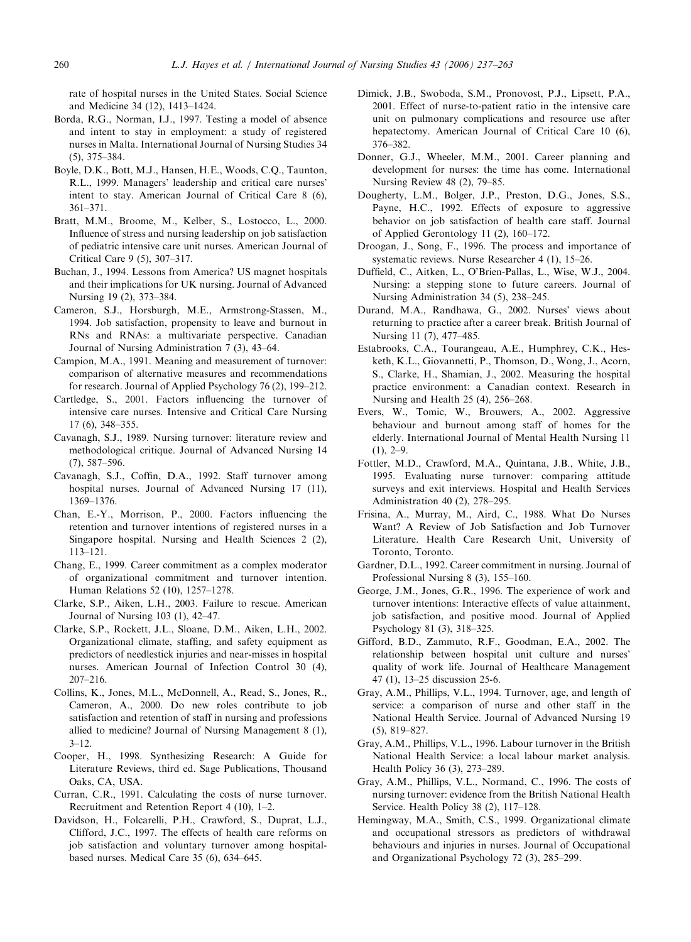<span id="page-23-0"></span>rate of hospital nurses in the United States. Social Science and Medicine 34 (12), 1413–1424.

- Borda, R.G., Norman, I.J., 1997. Testing a model of absence and intent to stay in employment: a study of registered nurses in Malta. International Journal of Nursing Studies 34 (5), 375–384.
- Boyle, D.K., Bott, M.J., Hansen, H.E., Woods, C.Q., Taunton, R.L., 1999. Managers' leadership and critical care nurses' intent to stay. American Journal of Critical Care 8 (6), 361–371.
- Bratt, M.M., Broome, M., Kelber, S., Lostocco, L., 2000. Influence of stress and nursing leadership on job satisfaction of pediatric intensive care unit nurses. American Journal of Critical Care 9 (5), 307–317.
- Buchan, J., 1994. Lessons from America? US magnet hospitals and their implications for UK nursing. Journal of Advanced Nursing 19 (2), 373–384.
- Cameron, S.J., Horsburgh, M.E., Armstrong-Stassen, M., 1994. Job satisfaction, propensity to leave and burnout in RNs and RNAs: a multivariate perspective. Canadian Journal of Nursing Administration 7 (3), 43–64.
- Campion, M.A., 1991. Meaning and measurement of turnover: comparison of alternative measures and recommendations for research. Journal of Applied Psychology 76 (2), 199–212.
- Cartledge, S., 2001. Factors influencing the turnover of intensive care nurses. Intensive and Critical Care Nursing 17 (6), 348–355.
- Cavanagh, S.J., 1989. Nursing turnover: literature review and methodological critique. Journal of Advanced Nursing 14 (7), 587–596.
- Cavanagh, S.J., Coffin, D.A., 1992. Staff turnover among hospital nurses. Journal of Advanced Nursing 17 (11), 1369–1376.
- Chan, E.-Y., Morrison, P., 2000. Factors influencing the retention and turnover intentions of registered nurses in a Singapore hospital. Nursing and Health Sciences 2 (2), 113–121.
- Chang, E., 1999. Career commitment as a complex moderator of organizational commitment and turnover intention. Human Relations 52 (10), 1257–1278.
- Clarke, S.P., Aiken, L.H., 2003. Failure to rescue. American Journal of Nursing 103 (1), 42–47.
- Clarke, S.P., Rockett, J.L., Sloane, D.M., Aiken, L.H., 2002. Organizational climate, staffing, and safety equipment as predictors of needlestick injuries and near-misses in hospital nurses. American Journal of Infection Control 30 (4), 207–216.
- Collins, K., Jones, M.L., McDonnell, A., Read, S., Jones, R., Cameron, A., 2000. Do new roles contribute to job satisfaction and retention of staff in nursing and professions allied to medicine? Journal of Nursing Management 8 (1), 3–12.
- Cooper, H., 1998. Synthesizing Research: A Guide for Literature Reviews, third ed. Sage Publications, Thousand Oaks, CA, USA.
- Curran, C.R., 1991. Calculating the costs of nurse turnover. Recruitment and Retention Report 4 (10), 1–2.
- Davidson, H., Folcarelli, P.H., Crawford, S., Duprat, L.J., Clifford, J.C., 1997. The effects of health care reforms on job satisfaction and voluntary turnover among hospitalbased nurses. Medical Care 35 (6), 634–645.
- Dimick, J.B., Swoboda, S.M., Pronovost, P.J., Lipsett, P.A., 2001. Effect of nurse-to-patient ratio in the intensive care unit on pulmonary complications and resource use after hepatectomy. American Journal of Critical Care 10 (6), 376–382.
- Donner, G.J., Wheeler, M.M., 2001. Career planning and development for nurses: the time has come. International Nursing Review 48 (2), 79–85.
- Dougherty, L.M., Bolger, J.P., Preston, D.G., Jones, S.S., Payne, H.C., 1992. Effects of exposure to aggressive behavior on job satisfaction of health care staff. Journal of Applied Gerontology 11 (2), 160–172.
- Droogan, J., Song, F., 1996. The process and importance of systematic reviews. Nurse Researcher 4 (1), 15–26.
- Duffield, C., Aitken, L., O'Brien-Pallas, L., Wise, W.J., 2004. Nursing: a stepping stone to future careers. Journal of Nursing Administration 34 (5), 238–245.
- Durand, M.A., Randhawa, G., 2002. Nurses' views about returning to practice after a career break. British Journal of Nursing 11 (7), 477–485.
- Estabrooks, C.A., Tourangeau, A.E., Humphrey, C.K., Hesketh, K.L., Giovannetti, P., Thomson, D., Wong, J., Acorn, S., Clarke, H., Shamian, J., 2002. Measuring the hospital practice environment: a Canadian context. Research in Nursing and Health 25 (4), 256–268.
- Evers, W., Tomic, W., Brouwers, A., 2002. Aggressive behaviour and burnout among staff of homes for the elderly. International Journal of Mental Health Nursing 11  $(1), 2-9.$
- Fottler, M.D., Crawford, M.A., Quintana, J.B., White, J.B., 1995. Evaluating nurse turnover: comparing attitude surveys and exit interviews. Hospital and Health Services Administration 40 (2), 278–295.
- Frisina, A., Murray, M., Aird, C., 1988. What Do Nurses Want? A Review of Job Satisfaction and Job Turnover Literature. Health Care Research Unit, University of Toronto, Toronto.
- Gardner, D.L., 1992. Career commitment in nursing. Journal of Professional Nursing 8 (3), 155–160.
- George, J.M., Jones, G.R., 1996. The experience of work and turnover intentions: Interactive effects of value attainment, job satisfaction, and positive mood. Journal of Applied Psychology 81 (3), 318–325.
- Gifford, B.D., Zammuto, R.F., Goodman, E.A., 2002. The relationship between hospital unit culture and nurses' quality of work life. Journal of Healthcare Management 47 (1), 13–25 discussion 25-6.
- Gray, A.M., Phillips, V.L., 1994. Turnover, age, and length of service: a comparison of nurse and other staff in the National Health Service. Journal of Advanced Nursing 19 (5), 819–827.
- Gray, A.M., Phillips, V.L., 1996. Labour turnover in the British National Health Service: a local labour market analysis. Health Policy 36 (3), 273–289.
- Gray, A.M., Phillips, V.L., Normand, C., 1996. The costs of nursing turnover: evidence from the British National Health Service. Health Policy 38 (2), 117–128.
- Hemingway, M.A., Smith, C.S., 1999. Organizational climate and occupational stressors as predictors of withdrawal behaviours and injuries in nurses. Journal of Occupational and Organizational Psychology 72 (3), 285–299.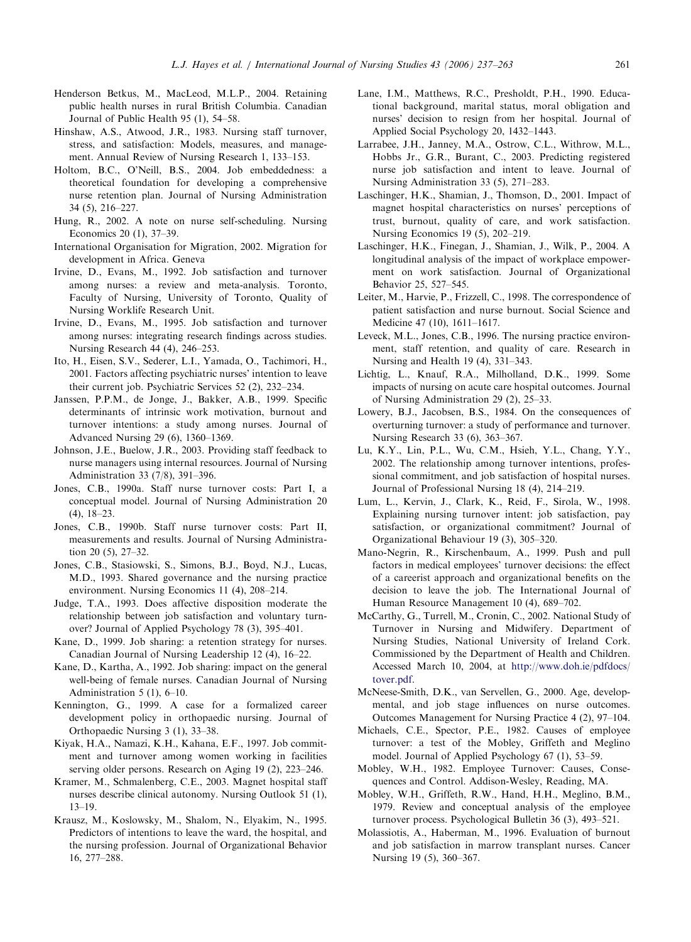- <span id="page-24-0"></span>Henderson Betkus, M., MacLeod, M.L.P., 2004. Retaining public health nurses in rural British Columbia. Canadian Journal of Public Health 95 (1), 54–58.
- Hinshaw, A.S., Atwood, J.R., 1983. Nursing staff turnover, stress, and satisfaction: Models, measures, and management. Annual Review of Nursing Research 1, 133–153.
- Holtom, B.C., O'Neill, B.S., 2004. Job embeddedness: a theoretical foundation for developing a comprehensive nurse retention plan. Journal of Nursing Administration 34 (5), 216–227.
- Hung, R., 2002. A note on nurse self-scheduling. Nursing Economics 20 (1), 37–39.
- International Organisation for Migration, 2002. Migration for development in Africa. Geneva
- Irvine, D., Evans, M., 1992. Job satisfaction and turnover among nurses: a review and meta-analysis. Toronto, Faculty of Nursing, University of Toronto, Quality of Nursing Worklife Research Unit.
- Irvine, D., Evans, M., 1995. Job satisfaction and turnover among nurses: integrating research findings across studies. Nursing Research 44 (4), 246–253.
- Ito, H., Eisen, S.V., Sederer, L.I., Yamada, O., Tachimori, H., 2001. Factors affecting psychiatric nurses' intention to leave their current job. Psychiatric Services 52 (2), 232–234.
- Janssen, P.P.M., de Jonge, J., Bakker, A.B., 1999. Specific determinants of intrinsic work motivation, burnout and turnover intentions: a study among nurses. Journal of Advanced Nursing 29 (6), 1360–1369.
- Johnson, J.E., Buelow, J.R., 2003. Providing staff feedback to nurse managers using internal resources. Journal of Nursing Administration 33 (7/8), 391–396.
- Jones, C.B., 1990a. Staff nurse turnover costs: Part I, a conceptual model. Journal of Nursing Administration 20 (4), 18–23.
- Jones, C.B., 1990b. Staff nurse turnover costs: Part II, measurements and results. Journal of Nursing Administration 20 (5), 27–32.
- Jones, C.B., Stasiowski, S., Simons, B.J., Boyd, N.J., Lucas, M.D., 1993. Shared governance and the nursing practice environment. Nursing Economics 11 (4), 208–214.
- Judge, T.A., 1993. Does affective disposition moderate the relationship between job satisfaction and voluntary turnover? Journal of Applied Psychology 78 (3), 395–401.
- Kane, D., 1999. Job sharing: a retention strategy for nurses. Canadian Journal of Nursing Leadership 12 (4), 16–22.
- Kane, D., Kartha, A., 1992. Job sharing: impact on the general well-being of female nurses. Canadian Journal of Nursing Administration 5 (1), 6–10.
- Kennington, G., 1999. A case for a formalized career development policy in orthopaedic nursing. Journal of Orthopaedic Nursing 3 (1), 33–38.
- Kiyak, H.A., Namazi, K.H., Kahana, E.F., 1997. Job commitment and turnover among women working in facilities serving older persons. Research on Aging 19 (2), 223–246.
- Kramer, M., Schmalenberg, C.E., 2003. Magnet hospital staff nurses describe clinical autonomy. Nursing Outlook 51 (1), 13–19.
- Krausz, M., Koslowsky, M., Shalom, N., Elyakim, N., 1995. Predictors of intentions to leave the ward, the hospital, and the nursing profession. Journal of Organizational Behavior 16, 277–288.
- Lane, I.M., Matthews, R.C., Presholdt, P.H., 1990. Educational background, marital status, moral obligation and nurses' decision to resign from her hospital. Journal of Applied Social Psychology 20, 1432–1443.
- Larrabee, J.H., Janney, M.A., Ostrow, C.L., Withrow, M.L., Hobbs Jr., G.R., Burant, C., 2003. Predicting registered nurse job satisfaction and intent to leave. Journal of Nursing Administration 33 (5), 271–283.
- Laschinger, H.K., Shamian, J., Thomson, D., 2001. Impact of magnet hospital characteristics on nurses' perceptions of trust, burnout, quality of care, and work satisfaction. Nursing Economics 19 (5), 202–219.
- Laschinger, H.K., Finegan, J., Shamian, J., Wilk, P., 2004. A longitudinal analysis of the impact of workplace empowerment on work satisfaction. Journal of Organizational Behavior 25, 527–545.
- Leiter, M., Harvie, P., Frizzell, C., 1998. The correspondence of patient satisfaction and nurse burnout. Social Science and Medicine 47 (10), 1611–1617.
- Leveck, M.L., Jones, C.B., 1996. The nursing practice environment, staff retention, and quality of care. Research in Nursing and Health 19 (4), 331–343.
- Lichtig, L., Knauf, R.A., Milholland, D.K., 1999. Some impacts of nursing on acute care hospital outcomes. Journal of Nursing Administration 29 (2), 25–33.
- Lowery, B.J., Jacobsen, B.S., 1984. On the consequences of overturning turnover: a study of performance and turnover. Nursing Research 33 (6), 363–367.
- Lu, K.Y., Lin, P.L., Wu, C.M., Hsieh, Y.L., Chang, Y.Y., 2002. The relationship among turnover intentions, professional commitment, and job satisfaction of hospital nurses. Journal of Professional Nursing 18 (4), 214–219.
- Lum, L., Kervin, J., Clark, K., Reid, F., Sirola, W., 1998. Explaining nursing turnover intent: job satisfaction, pay satisfaction, or organizational commitment? Journal of Organizational Behaviour 19 (3), 305–320.
- Mano-Negrin, R., Kirschenbaum, A., 1999. Push and pull factors in medical employees' turnover decisions: the effect of a careerist approach and organizational benefits on the decision to leave the job. The International Journal of Human Resource Management 10 (4), 689–702.
- McCarthy, G., Turrell, M., Cronin, C., 2002. National Study of Turnover in Nursing and Midwifery. Department of Nursing Studies, National University of Ireland Cork. Commissioned by the Department of Health and Children. Accessed March 10, 2004, at [http://www.doh.ie/pdfdocs/](http://www.doh.ie/pdfdocs/tover.pdf) [tover.pdf.](http://www.doh.ie/pdfdocs/tover.pdf)
- McNeese-Smith, D.K., van Servellen, G., 2000. Age, developmental, and job stage influences on nurse outcomes. Outcomes Management for Nursing Practice 4 (2), 97–104.
- Michaels, C.E., Spector, P.E., 1982. Causes of employee turnover: a test of the Mobley, Griffeth and Meglino model. Journal of Applied Psychology 67 (1), 53–59.
- Mobley, W.H., 1982. Employee Turnover: Causes, Consequences and Control. Addison-Wesley, Reading, MA.
- Mobley, W.H., Griffeth, R.W., Hand, H.H., Meglino, B.M., 1979. Review and conceptual analysis of the employee turnover process. Psychological Bulletin 36 (3), 493–521.
- Molassiotis, A., Haberman, M., 1996. Evaluation of burnout and job satisfaction in marrow transplant nurses. Cancer Nursing 19 (5), 360–367.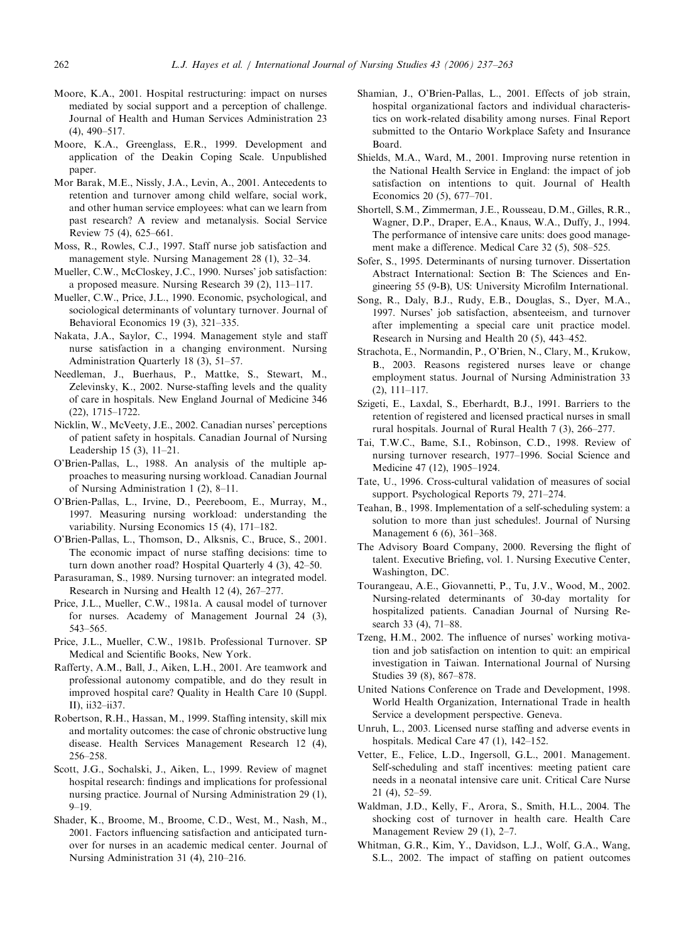- <span id="page-25-0"></span>Moore, K.A., 2001. Hospital restructuring: impact on nurses mediated by social support and a perception of challenge. Journal of Health and Human Services Administration 23 (4), 490–517.
- Moore, K.A., Greenglass, E.R., 1999. Development and application of the Deakin Coping Scale. Unpublished paper.
- Mor Barak, M.E., Nissly, J.A., Levin, A., 2001. Antecedents to retention and turnover among child welfare, social work, and other human service employees: what can we learn from past research? A review and metanalysis. Social Service Review 75 (4), 625–661.
- Moss, R., Rowles, C.J., 1997. Staff nurse job satisfaction and management style. Nursing Management 28 (1), 32–34.
- Mueller, C.W., McCloskey, J.C., 1990. Nurses' job satisfaction: a proposed measure. Nursing Research 39 (2), 113–117.
- Mueller, C.W., Price, J.L., 1990. Economic, psychological, and sociological determinants of voluntary turnover. Journal of Behavioral Economics 19 (3), 321–335.
- Nakata, J.A., Saylor, C., 1994. Management style and staff nurse satisfaction in a changing environment. Nursing Administration Quarterly 18 (3), 51–57.
- Needleman, J., Buerhaus, P., Mattke, S., Stewart, M., Zelevinsky, K., 2002. Nurse-staffing levels and the quality of care in hospitals. New England Journal of Medicine 346 (22), 1715–1722.
- Nicklin, W., McVeety, J.E., 2002. Canadian nurses' perceptions of patient safety in hospitals. Canadian Journal of Nursing Leadership 15 (3), 11–21.
- O'Brien-Pallas, L., 1988. An analysis of the multiple approaches to measuring nursing workload. Canadian Journal of Nursing Administration 1 (2), 8–11.
- O'Brien-Pallas, L., Irvine, D., Peereboom, E., Murray, M., 1997. Measuring nursing workload: understanding the variability. Nursing Economics 15 (4), 171–182.
- O'Brien-Pallas, L., Thomson, D., Alksnis, C., Bruce, S., 2001. The economic impact of nurse staffing decisions: time to turn down another road? Hospital Quarterly 4 (3), 42–50.
- Parasuraman, S., 1989. Nursing turnover: an integrated model. Research in Nursing and Health 12 (4), 267–277.
- Price, J.L., Mueller, C.W., 1981a. A causal model of turnover for nurses. Academy of Management Journal 24 (3), 543–565.
- Price, J.L., Mueller, C.W., 1981b. Professional Turnover. SP Medical and Scientific Books, New York.
- Rafferty, A.M., Ball, J., Aiken, L.H., 2001. Are teamwork and professional autonomy compatible, and do they result in improved hospital care? Quality in Health Care 10 (Suppl. II), ii32–ii37.
- Robertson, R.H., Hassan, M., 1999. Staffing intensity, skill mix and mortality outcomes: the case of chronic obstructive lung disease. Health Services Management Research 12 (4), 256–258.
- Scott, J.G., Sochalski, J., Aiken, L., 1999. Review of magnet hospital research: findings and implications for professional nursing practice. Journal of Nursing Administration 29 (1), 9–19.
- Shader, K., Broome, M., Broome, C.D., West, M., Nash, M., 2001. Factors influencing satisfaction and anticipated turnover for nurses in an academic medical center. Journal of Nursing Administration 31 (4), 210–216.
- Shamian, J., O'Brien-Pallas, L., 2001. Effects of job strain, hospital organizational factors and individual characteristics on work-related disability among nurses. Final Report submitted to the Ontario Workplace Safety and Insurance Board.
- Shields, M.A., Ward, M., 2001. Improving nurse retention in the National Health Service in England: the impact of job satisfaction on intentions to quit. Journal of Health Economics 20 (5), 677–701.
- Shortell, S.M., Zimmerman, J.E., Rousseau, D.M., Gilles, R.R., Wagner, D.P., Draper, E.A., Knaus, W.A., Duffy, J., 1994. The performance of intensive care units: does good management make a difference. Medical Care 32 (5), 508–525.
- Sofer, S., 1995. Determinants of nursing turnover. Dissertation Abstract International: Section B: The Sciences and Engineering 55 (9-B), US: University Microfilm International.
- Song, R., Daly, B.J., Rudy, E.B., Douglas, S., Dyer, M.A., 1997. Nurses' job satisfaction, absenteeism, and turnover after implementing a special care unit practice model. Research in Nursing and Health 20 (5), 443–452.
- Strachota, E., Normandin, P., O'Brien, N., Clary, M., Krukow, B., 2003. Reasons registered nurses leave or change employment status. Journal of Nursing Administration 33 (2), 111–117.
- Szigeti, E., Laxdal, S., Eberhardt, B.J., 1991. Barriers to the retention of registered and licensed practical nurses in small rural hospitals. Journal of Rural Health 7 (3), 266–277.
- Tai, T.W.C., Bame, S.I., Robinson, C.D., 1998. Review of nursing turnover research, 1977–1996. Social Science and Medicine 47 (12), 1905–1924.
- Tate, U., 1996. Cross-cultural validation of measures of social support. Psychological Reports 79, 271–274.
- Teahan, B., 1998. Implementation of a self-scheduling system: a solution to more than just schedules!. Journal of Nursing Management 6 (6), 361–368.
- The Advisory Board Company, 2000. Reversing the flight of talent. Executive Briefing, vol. 1. Nursing Executive Center, Washington, DC.
- Tourangeau, A.E., Giovannetti, P., Tu, J.V., Wood, M., 2002. Nursing-related determinants of 30-day mortality for hospitalized patients. Canadian Journal of Nursing Research 33 (4), 71–88.
- Tzeng, H.M., 2002. The influence of nurses' working motivation and job satisfaction on intention to quit: an empirical investigation in Taiwan. International Journal of Nursing Studies 39 (8), 867–878.
- United Nations Conference on Trade and Development, 1998. World Health Organization, International Trade in health Service a development perspective. Geneva.
- Unruh, L., 2003. Licensed nurse staffing and adverse events in hospitals. Medical Care 47 (1), 142–152.
- Vetter, E., Felice, L.D., Ingersoll, G.L., 2001. Management. Self-scheduling and staff incentives: meeting patient care needs in a neonatal intensive care unit. Critical Care Nurse 21 (4), 52–59.
- Waldman, J.D., Kelly, F., Arora, S., Smith, H.L., 2004. The shocking cost of turnover in health care. Health Care Management Review 29 (1), 2–7.
- Whitman, G.R., Kim, Y., Davidson, L.J., Wolf, G.A., Wang, S.L., 2002. The impact of staffing on patient outcomes